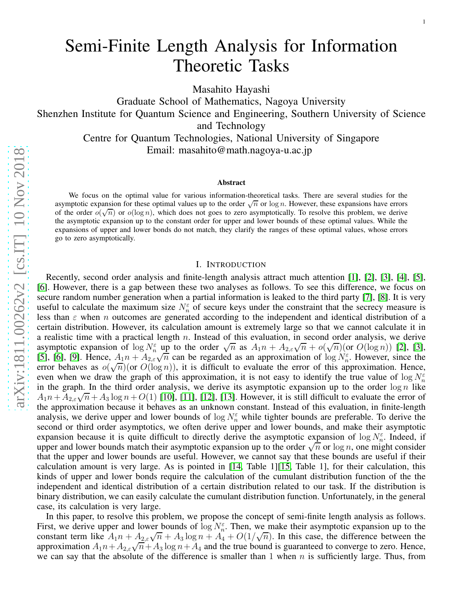Masahito Hayashi

Graduate School of Mathematics, Nagoya University Shenzhen Institute for Quantum Science and Engineering, Southern University of Science and Technology Centre for Quantum Technologies, National University of Singapore Email: masahito@math.nagoya-u.ac.jp

#### Abstract

We focus on the optimal value for various information-theoretical tasks. There are several studies for the asymptotic expansion for these optimal values up to the order  $\sqrt{n}$  or  $\log n$ . However, these expansions have errors of the order  $o(\sqrt{n})$  or  $o(\log n)$ , which does not goes to zero asymptotically. To resolve this problem, we derive the asymptotic expansion up to the constant order for upper and lower bounds of these optimal values. While the expansions of upper and lower bonds do not match, they clarify the ranges of these optimal values, whose errors go to zero asymptotically.

#### I. INTRODUCTION

Recently, second order analysis and finite-length analysis attract much attention [\[1\]](#page-26-0), [\[2\]](#page-26-1), [\[3\]](#page-26-2), [\[4\]](#page-26-3), [\[5\]](#page-26-4), [\[6\]](#page-26-5). However, there is a gap between these two analyses as follows. To see this difference, we focus on secure random number generation when a partial information is leaked to the third party [\[7\]](#page-26-6), [\[8\]](#page-26-7). It is very useful to calculate the maximum size  $N_n^{\varepsilon}$  of secure keys under the constraint that the secrecy measure is less than  $\varepsilon$  when n outcomes are generated according to the independent and identical distribution of a certain distribution. However, its calculation amount is extremely large so that we cannot calculate it in a realistic time with a practical length  $n$ . Instead of this evaluation, in second order analysis, we derive asymptotic expansion of  $\log N_n^{\epsilon}$  up to the order  $\sqrt{n}$  as  $A_1 n + A_{2,\epsilon} \sqrt{n} + o(\sqrt{n})(\text{or } O(\log n))$  [\[2\]](#page-26-1), [\[3\]](#page-26-2), [\[5\]](#page-26-4), [\[6\]](#page-26-5), [\[9\]](#page-26-8). Hence,  $A_1 n + A_{2,\varepsilon} \sqrt{n}$  can be regarded as an approximation of  $\log N_{\varepsilon}^{\varepsilon}$ . However, since the error behaves as  $o(\sqrt{n})(or O(\log n))$ , it is difficult to evaluate the error of this approximation. Hence, even when we draw the graph of this approximation, it is not easy to identify the true value of  $\log N_n^{\varepsilon}$ in the graph. In the third order analysis, we derive its asymptotic expansion up to the order  $\log n$  like  $A_1 n + A_{2,\varepsilon} \sqrt{n} + A_3 \log n + O(1)$  [\[10\]](#page-27-0), [\[11\]](#page-27-1), [\[12\]](#page-27-2), [\[13\]](#page-27-3). However, it is still difficult to evaluate the error of the approximation because it behaves as an unknown constant. Instead of this evaluation, in finite-length analysis, we derive upper and lower bounds of  $\log N_n^{\epsilon}$  while tighter bounds are preferable. To derive the second or third order asymptotics, we often derive upper and lower bounds, and make their asymptotic expansion because it is quite difficult to directly derive the asymptotic expansion of  $\log N_n^{\varepsilon}$ . Indeed, if upper and lower bounds match their asymptotic expansion up to the order  $\sqrt{n}$  or  $\log n$ , one might consider that the upper and lower bounds are useful. However, we cannot say that these bounds are useful if their calculation amount is very large. As is pointed in [\[14,](#page-27-4) Table 1][\[15,](#page-27-5) Table 1], for their calculation, this kinds of upper and lower bonds require the calculation of the cumulant distribution function of the the independent and identical distribution of a certain distribution related to our task. If the distribution is binary distribution, we can easily calculate the cumulant distribution function. Unfortunately, in the general case, its calculation is very large.

In this paper, to resolve this problem, we propose the concept of semi-finite length analysis as follows. First, we derive upper and lower bounds of  $\log N_n^{\varepsilon}$ . Then, we make their asymptotic expansion up to the constant term like  $A_1 n + A_{2,\epsilon} \sqrt{n} + A_3 \log n + A_4 + O(1/\sqrt{n})$ . In this case, the difference between the approximation  $A_1 n + A_{2,\epsilon} \sqrt{n} + A_3 \log n + A_4$  and the true bound is guaranteed to converge to zero. Hence, we can say that the absolute of the difference is smaller than 1 when  $n$  is sufficiently large. Thus, from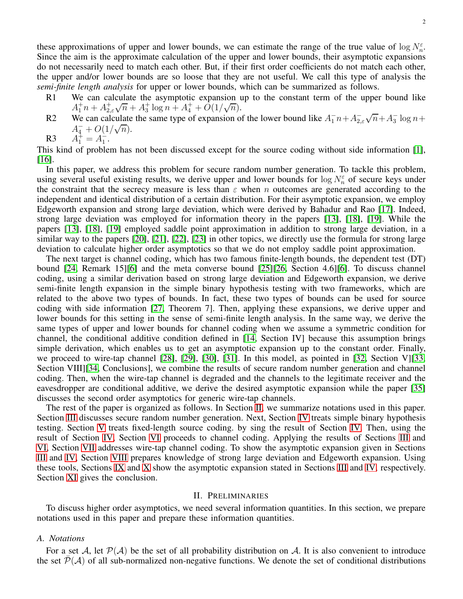these approximations of upper and lower bounds, we can estimate the range of the true value of  $\log N_n^{\varepsilon}$ . Since the aim is the approximate calculation of the upper and lower bounds, their asymptotic expansions do not necessarily need to match each other. But, if their first order coefficients do not match each other, the upper and/or lower bounds are so loose that they are not useful. We call this type of analysis the *semi-finite length analysis* for upper or lower bounds, which can be summarized as follows.

- R1 We can calculate the asymptotic expansion up to the constant term of the upper bound like  $A_1^+ n + A_{2,\varepsilon}^+ \sqrt{n} + A_3^+ \log n + A_4^+ + O(1/\sqrt{n}).$
- R2 We can calculate the same type of expansion of the lower bound like  $A_1^- n + A_{2,\varepsilon}^- \sqrt{n} + A_3^- \log n +$  $A_4^- + O(1/\sqrt{n}).$ <br> $A_1^+ = A_1^-$ .

 $R<sub>3</sub>$ 

This kind of problem has not been discussed except for the source coding without side information [\[1\]](#page-26-0), [\[16\]](#page-27-6).

In this paper, we address this problem for secure random number generation. To tackle this problem, using several useful existing results, we derive upper and lower bounds for  $\log N_n^{\varepsilon}$  of secure keys under the constraint that the secrecy measure is less than  $\varepsilon$  when n outcomes are generated according to the independent and identical distribution of a certain distribution. For their asymptotic expansion, we employ Edgeworth expansion and strong large deviation, which were derived by Bahadur and Rao [\[17\]](#page-27-7). Indeed, strong large deviation was employed for information theory in the papers [\[13\]](#page-27-3), [\[18\]](#page-27-8), [\[19\]](#page-27-9). While the papers [\[13\]](#page-27-3), [\[18\]](#page-27-8), [\[19\]](#page-27-9) employed saddle point approximation in addition to strong large deviation, in a similar way to the papers [\[20\]](#page-27-10), [\[21\]](#page-27-11), [\[22\]](#page-27-12), [\[23\]](#page-27-13) in other topics, we directly use the formula for strong large deviation to calculate higher order asymptotics so that we do not employ saddle point approximation.

The next target is channel coding, which has two famous finite-length bounds, the dependent test (DT) bound [\[24,](#page-27-14) Remark 15][\[6\]](#page-26-5) and the meta converse bound [\[25\]](#page-27-15)[\[26,](#page-27-16) Section 4.6][\[6\]](#page-26-5). To discuss channel coding, using a similar derivation based on strong large deviation and Edgeworth expansion, we derive semi-finite length expansion in the simple binary hypothesis testing with two frameworks, which are related to the above two types of bounds. In fact, these two types of bounds can be used for source coding with side information [\[27,](#page-27-17) Theorem 7]. Then, applying these expansions, we derive upper and lower bounds for this setting in the sense of semi-finite length analysis. In the same way, we derive the same types of upper and lower bounds for channel coding when we assume a symmetric condition for channel, the conditional additive condition defined in [\[14,](#page-27-4) Section IV] because this assumption brings simple derivation, which enables us to get an asymptotic expansion up to the constant order. Finally, we proceed to wire-tap channel [\[28\]](#page-27-18), [\[29\]](#page-27-19), [\[30\]](#page-27-20), [\[31\]](#page-27-21). In this model, as pointed in [\[32,](#page-27-22) Section V][\[33,](#page-27-23) Section VIII][\[34,](#page-27-24) Conclusions], we combine the results of secure random number generation and channel coding. Then, when the wire-tap channel is degraded and the channels to the legitimate receiver and the eavesdropper are conditional additive, we derive the desired asymptotic expansion while the paper [\[35\]](#page-27-25) discusses the second order asymptotics for generic wire-tap channels.

The rest of the paper is organized as follows. In Section [II,](#page-1-0) we summarize notations used in this paper. Section [III](#page-3-0) discusses secure random number generation. Next, Section [IV](#page-8-0) treats simple binary hypothesis testing. Section [V](#page-8-1) treats fixed-length source coding. by sing the result of Section [IV.](#page-8-0) Then, using the result of Section [IV,](#page-8-0) Section [VI](#page-9-0) proceeds to channel coding. Applying the results of Sections [III](#page-3-0) and [VI,](#page-9-0) Section [VII](#page-11-0) addresses wire-tap channel coding. To show the asymptotic expansion given in Sections [III](#page-3-0) and [IV,](#page-8-0) Section [VIII](#page-17-0) prepares knowledge of strong large deviation and Edgeworth expansion. Using these tools, Sections [IX](#page-19-0) and [X](#page-23-0) show the asymptotic expansion stated in Sections [III](#page-3-0) and [IV,](#page-8-0) respectively. Section [XI](#page-24-0) gives the conclusion.

### II. PRELIMINARIES

<span id="page-1-0"></span>To discuss higher order asymptotics, we need several information quantities. In this section, we prepare notations used in this paper and prepare these information quantities.

## *A. Notations*

For a set A, let  $P(A)$  be the set of all probability distribution on A. It is also convenient to introduce the set  $\overline{\mathcal{P}}(\mathcal{A})$  of all sub-normalized non-negative functions. We denote the set of conditional distributions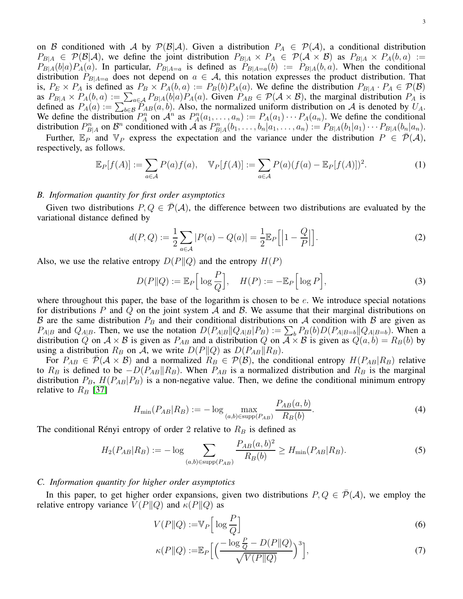on B conditioned with A by  $P(B|A)$ . Given a distribution  $P_A \in P(A)$ , a conditional distribution  $P_{B|A} \in \mathcal{P}(\mathcal{B}|\mathcal{A})$ , we define the joint distribution  $P_{B|A} \times P_A \in \mathcal{P}(\mathcal{A} \times \mathcal{B})$  as  $P_{B|A} \times P_A(b,a) :=$  $P_{B|A}(b|a)P_A(a)$ . In particular,  $P_{B|A=a}$  is defined as  $P_{B|A=a}(b) := P_{B|A}(b, a)$ . When the conditional distribution  $P_{B|A=a}$  does not depend on  $a \in A$ , this notation expresses the product distribution. That is,  $P_E \times P_A$  is defined as  $P_B \times P_A(b, a) := P_B(b)P_A(a)$ . We define the distribution  $P_{B|A} \cdot P_A \in \mathcal{P}(\mathcal{B})$ as  $P_{B|A} \times P_A(b, a) := \sum_{a \in A} P_{B|A}(b|a) P_A(a)$ . Given  $P_{AB} \in \mathcal{P}(\mathcal{A} \times \mathcal{B})$ , the marginal distribution  $P_A$  is defined as  $P_A(a) := \sum_{b \in B} P_{AB}(a, b)$ . Also, the normalized uniform distribution on A is denoted by  $U_A$ . We define the distribution  $P_A^n$  on  $\mathcal{A}^n$  as  $P_A^n(a_1, \ldots, a_n) := P_A(a_1) \cdots P_A(a_n)$ . We define the conditional distribution  $P_{B|A}^n$  on  $\mathcal{B}^n$  conditioned with  $\tilde{\mathcal{A}}$  as  $P_{B|A}^n(b_1,\ldots,b_n|a_1,\ldots,a_n) := P_{B|A}(b_1|a_1)\cdots P_{B|A}(b_n|a_n)$ .

Further,  $\mathbb{E}_P$  and  $\mathbb{V}_P$  express the expectation and the variance under the distribution  $P \in \overline{\mathcal{P}}(\mathcal{A})$ , respectively, as follows.

$$
\mathbb{E}_P[f(A)] := \sum_{a \in \mathcal{A}} P(a)f(a), \quad \mathbb{V}_P[f(A)] := \sum_{a \in \mathcal{A}} P(a)(f(a) - \mathbb{E}_P[f(A)])^2.
$$
 (1)

# *B. Information quantity for first order asymptotics*

Given two distributions  $P, Q \in \mathcal{P}(\mathcal{A})$ , the difference between two distributions are evaluated by the variational distance defined by

$$
d(P,Q) := \frac{1}{2} \sum_{a \in \mathcal{A}} |P(a) - Q(a)| = \frac{1}{2} \mathbb{E}_P \left[ \left| 1 - \frac{Q}{P} \right| \right].
$$
 (2)

Also, we use the relative entropy  $D(P||Q)$  and the entropy  $H(P)$ 

$$
D(P||Q) := \mathbb{E}_P\left[\log\frac{P}{Q}\right], \quad H(P) := -\mathbb{E}_P\left[\log P\right],\tag{3}
$$

where throughout this paper, the base of the logarithm is chosen to be  $e$ . We introduce special notations for distributions P and Q on the joint system A and B. We assume that their marginal distributions on B are the same distribution  $P_B$  and their conditional distributions on A condition with B are given as  $P_{A|B}$  and  $Q_{A|B}$ . Then, we use the notation  $D(P_{A|B}||Q_{A|B}|P_B) := \sum_b P_B(b)D(P_{A|B=b}||Q_{A|B=b})$ . When a distribution Q on  $A \times B$  is given as  $P_{AB}$  and a distribution Q on  $\overline{A} \times B$  is given as  $Q(a, b) = R_B(b)$  by using a distribution  $R_B$  on A, we write  $D(P||Q)$  as  $D(P_{AB}||R_B)$ .

For  $P_{AB} \in \mathcal{P}(\mathcal{A} \times \mathcal{B})$  and a normalized  $R_B \in \mathcal{P}(\mathcal{B})$ , the conditional entropy  $H(P_{AB}|R_B)$  relative to  $R_B$  is defined to be  $-D(P_{AB}||R_B)$ . When  $P_{AB}$  is a normalized distribution and  $R_B$  is the marginal distribution  $P_B$ ,  $H(P_{AB}|P_B)$  is a non-negative value. Then, we define the conditional minimum entropy relative to  $R_B$  [\[37\]](#page-27-26)

<span id="page-2-0"></span>
$$
H_{\min}(P_{AB}|R_B) := -\log \max_{(a,b)\in \text{supp}(P_{AB})} \frac{P_{AB}(a,b)}{R_B(b)}.
$$
\n(4)

The conditional Rényi entropy of order 2 relative to  $R_B$  is defined as

<span id="page-2-1"></span>
$$
H_2(P_{AB}|R_B) := -\log \sum_{(a,b)\in \text{supp}(P_{AB})} \frac{P_{AB}(a,b)^2}{R_B(b)} \ge H_{\min}(P_{AB}|R_B). \tag{5}
$$

# *C. Information quantity for higher order asymptotics*

In this paper, to get higher order expansions, given two distributions  $P, Q \in \overline{\mathcal{P}}(\mathcal{A})$ , we employ the relative entropy variance  $V(P||Q)$  and  $\kappa(P||Q)$  as

$$
V(P||Q) := V_P \left[ \log \frac{P}{Q} \right] \tag{6}
$$

$$
\kappa(P||Q) := \mathbb{E}_P\Big[\Big(\frac{-\log\frac{P}{Q} - D(P||Q)}{\sqrt{V(P||Q)}}\Big)^3\Big],\tag{7}
$$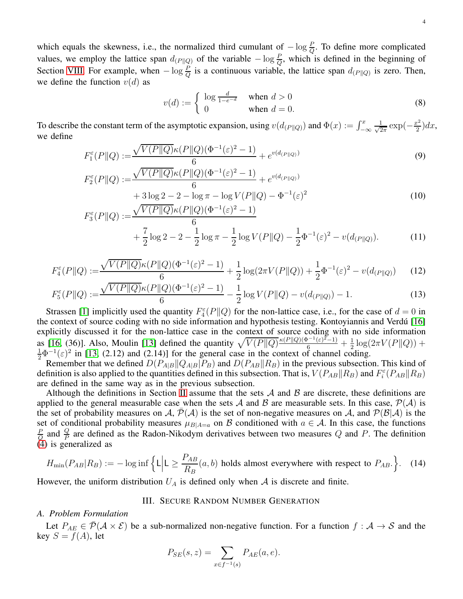which equals the skewness, i.e., the normalized third cumulant of  $-\log \frac{P}{Q}$ . To define more complicated values, we employ the lattice span  $d_{(P||Q)}$  of the variable  $-\log \frac{P}{Q}$ , which is defined in the beginning of Section [VIII.](#page-17-0) For example, when  $-\log \frac{P}{Q}$  is a continuous variable, the lattice span  $d_{(P||Q)}$  is zero. Then, we define the function  $v(d)$  as

$$
v(d) := \begin{cases} \log \frac{d}{1 - e^{-d}} & \text{when } d > 0\\ 0 & \text{when } d = 0. \end{cases}
$$
 (8)

To describe the constant term of the asymptotic expansion, using  $v(d_{(P||Q)})$  and  $\Phi(x) := \int_{-\infty}^{x} \frac{1}{\sqrt{2}} dx$  $rac{1}{2\pi}$  exp $\left(-\frac{x^2}{2}\right)$  $\frac{x^2}{2}$ ) $dx$ , we define

$$
F_1^{\varepsilon}(P||Q) := \frac{\sqrt{V(P||Q)}\kappa(P||Q)(\Phi^{-1}(\varepsilon)^2 - 1)}{6} + e^{v(d_{(P||Q)})}
$$
(9)  

$$
F_2^{\varepsilon}(P||Q) := \frac{\sqrt{V(P||Q)}\kappa(P||Q)(\Phi^{-1}(\varepsilon)^2 - 1)}{4} + e^{v(d_{(P||Q)})}
$$

$$
F_2^{\varepsilon}(P||Q) := \frac{\sqrt{V(2 + ||\mathcal{L}/(2 + ||\mathcal{L}/(2 + ||\mathcal{L}/(2 + ||\mathcal{L}/(2 + ||\mathcal{L}/(2 + ||\mathcal{L}/(2 + ||\mathcal{L}/(2 + ||\mathcal{L}/2))))})}}{6} + 3\log 2 - 2 - \log \pi - \log V(P||Q) - \Phi^{-1}(\varepsilon)^2
$$
\n
$$
F_3^{\varepsilon}(P||Q) := \frac{\sqrt{V(P||Q)}\kappa(P||Q)(\Phi^{-1}(\varepsilon)^2 - 1)}{6}
$$
\n(10)

$$
+\frac{7}{2}\log 2 - 2 - \frac{1}{2}\log \pi - \frac{1}{2}\log V(P||Q) - \frac{1}{2}\Phi^{-1}(\varepsilon)^2 - v(d_{(P||Q)}).
$$
 (11)

$$
F_4^{\varepsilon}(P||Q) := \frac{\sqrt{V(P||Q)}\kappa(P||Q)(\Phi^{-1}(\varepsilon)^2 - 1)}{6} + \frac{1}{2}\log(2\pi V(P||Q)) + \frac{1}{2}\Phi^{-1}(\varepsilon)^2 - v(d_{(P||Q)})\tag{12}
$$

$$
F_5^{\varepsilon}(P||Q) := \frac{\sqrt{V(P||Q)}\kappa(P||Q)(\Phi^{-1}(\varepsilon)^2 - 1)}{6} - \frac{1}{2}\log V(P||Q) - v(d_{(P||Q)}) - 1.
$$
 (13)

Strassen [\[1\]](#page-26-0) implicitly used the quantity  $F_4^{\varepsilon}(P||Q)$  for the non-lattice case, i.e., for the case of  $d = 0$  in the context of source coding with no side information and hypothesis testing. Kontoyiannis and Verdú [\[16\]](#page-27-6) explicitly discussed it for the non-lattice case in the context of source coding with no side information as [\[16,](#page-27-6) (36)]. Also, Moulin [\[13\]](#page-27-3) defined the quantity  $\sqrt{V(P||Q)} \frac{\kappa(P||Q)(\Phi^{-1}(\varepsilon)^{2}-1)}{\theta} + \frac{1}{2}$ as [16, (36)]. Also, Moulin [13] defined the quantity  $\sqrt{V(P||Q)} \frac{\kappa(P||Q)(\Psi^{-1}(\varepsilon)^{2}-1)}{6} + \frac{1}{2} \log(2\pi V(P||Q)) + \frac{1}{2} \Phi^{-1}(\varepsilon)^{2}$  in [\[13,](#page-27-3) (2.12) and (2.14)] for the general case in the context of channel coding.

Remember that we defined  $D(P_{A|B}||Q_{A|B}|P_B)$  and  $D(P_{AB}||R_B)$  in the previous subsection. This kind of definition is also applied to the quantities defined in this subsection. That is,  $V(P_{AB}||R_B)$  and  $F_i^{\epsilon}(P_{AB}||R_B)$ are defined in the same way as in the previous subsection.

Although the definitions in Section [II](#page-1-0) assume that the sets  $A$  and  $B$  are discrete, these definitions are applied to the general measurable case when the sets A and B are measurable sets. In this case,  $\mathcal{P}(\mathcal{A})$  is the set of probability measures on A,  $P(A)$  is the set of non-negative measures on A, and  $P(B|A)$  is the set of conditional probability measures  $\mu_{B|A=a}$  on B conditioned with  $a \in A$ . In this case, the functions P  $\frac{P}{Q}$  and  $\frac{Q}{P}$  are defined as the Radon-Nikodym derivatives between two measures Q and P. The definition [\(4\)](#page-2-0) is generalized as

$$
H_{\min}(P_{AB}|R_B) := -\log \inf \left\{ L \Big| L \ge \frac{P_{AB}}{R_B}(a, b) \text{ holds almost everywhere with respect to } P_{AB}. \right\}.
$$
 (14)

<span id="page-3-0"></span>However, the uniform distribution  $U_A$  is defined only when A is discrete and finite.

# III. SECURE RANDOM NUMBER GENERATION

# *A. Problem Formulation*

Let  $P_{AE} \in \overline{\mathcal{P}}(\mathcal{A} \times \mathcal{E})$  be a sub-normalized non-negative function. For a function  $f : \mathcal{A} \to \mathcal{S}$  and the key  $S = f(A)$ , let

$$
P_{SE}(s, z) = \sum_{x \in f^{-1}(s)} P_{AE}(a, e).
$$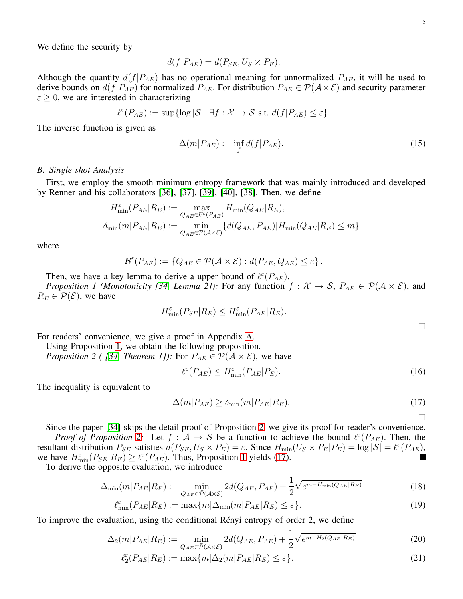We define the security by

$$
d(f|P_{AE}) = d(P_{SE}, U_S \times P_E).
$$

Although the quantity  $d(f|P_{AE})$  has no operational meaning for unnormalized  $P_{AE}$ , it will be used to derive bounds on  $d(f|P_{AE})$  for normalized  $P_{AE}$ . For distribution  $P_{AE} \in \mathcal{P}(\mathcal{A} \times \mathcal{E})$  and security parameter  $\epsilon \geq 0$ , we are interested in characterizing

$$
\ell^{\varepsilon}(P_{AE}) := \sup \{ \log |\mathcal{S}| \, | \exists f : \mathcal{X} \to \mathcal{S} \text{ s.t. } d(f|P_{AE}) \leq \varepsilon \}.
$$

The inverse function is given as

$$
\Delta(m|P_{AE}) := \inf_f d(f|P_{AE}).
$$
\n(15)

### *B. Single shot Analysis*

First, we employ the smooth minimum entropy framework that was mainly introduced and developed by Renner and his collaborators [\[36\]](#page-27-27), [\[37\]](#page-27-26), [\[39\]](#page-27-28), [\[40\]](#page-27-29), [\[38\]](#page-27-30). Then, we define

$$
H_{\min}^{\varepsilon}(P_{AE}|R_E) := \max_{Q_{AE} \in \mathcal{B}^{\varepsilon}(P_{AE})} H_{\min}(Q_{AE}|R_E),
$$
  

$$
\delta_{\min}(m|P_{AE}|R_E) := \min_{Q_{AE} \in \mathcal{P}(\mathcal{A} \times \mathcal{E})} \{d(Q_{AE}, P_{AE}) | H_{\min}(Q_{AE}|R_E) \le m\}
$$

where

$$
\mathcal{B}^{\varepsilon}(P_{AE}) := \{Q_{AE} \in \mathcal{P}(\mathcal{A} \times \mathcal{E}) : d(P_{AE}, Q_{AE}) \leq \varepsilon\}.
$$

Then, we have a key lemma to derive a upper bound of  $\ell^{\epsilon}(P_{AE})$ .

*Proposition 1 (Monotonicity [\[34,](#page-27-24) Lemma 2]):* For any function  $f: \mathcal{X} \to \mathcal{S}$ ,  $P_{AE} \in \mathcal{P}(\mathcal{A} \times \mathcal{E})$ , and  $R_E \in \mathcal{P}(\mathcal{E})$ , we have

<span id="page-4-0"></span>
$$
H_{\min}^{\varepsilon}(P_{SE}|R_E) \le H_{\min}^{\varepsilon}(P_{AE}|R_E).
$$

For readers' convenience, we give a proof in Appendix [A.](#page-24-1)

Using Proposition [1,](#page-4-0) we obtain the following proposition.

*Proposition 2 ( [\[34,](#page-27-24) Theorem 1]):* For  $P_{AE} \in \mathcal{P}(\mathcal{A} \times \mathcal{E})$ , we have

<span id="page-4-1"></span>
$$
\ell^{\varepsilon}(P_{AE}) \le H_{\min}^{\varepsilon}(P_{AE}|P_E). \tag{16}
$$

The inequality is equivalent to

$$
\Delta(m|P_{AE}) \ge \delta_{\min}(m|P_{AE}|R_E). \tag{17}
$$

<span id="page-4-2"></span> $\Box$ 

Since the paper [\[34\]](#page-27-24) skips the detail proof of Proposition [2,](#page-4-1) we give its proof for reader's convenience. *Proof of Proposition* [2:](#page-4-1) Let  $f : A \rightarrow S$  be a function to achieve the bound  $\ell^{\epsilon}(P_{AE})$ . Then, the resultant distribution  $P_{SE}$  satisfies  $d(P_{SE}, U_S \times P_E) = \varepsilon$ . Since  $H_{min}(U_S \times P_E | P_E) = \log |\mathcal{S}| = \ell^{\varepsilon}(P_{AE})$ , we have  $H_{\min}^{\varepsilon}(P_{SE}|R_E) \geq \ell^{\varepsilon}(P_{AE})$ . Thus, Proposition [1](#page-4-0) yields [\(17\)](#page-4-2). П

To derive the opposite evaluation, we introduce

$$
\Delta_{\min}(m|P_{AE}|R_E) := \min_{Q_{AE} \in \overline{\mathcal{P}}(\mathcal{A} \times \mathcal{E})} 2d(Q_{AE}, P_{AE}) + \frac{1}{2} \sqrt{e^{m - H_{\min}(Q_{AE}|R_E)}} \tag{18}
$$

$$
\ell_{\min}^{\varepsilon}(P_{AE}|R_E) := \max\{m|\Delta_{\min}(m|P_{AE}|R_E) \leq \varepsilon\}.
$$
\n(19)

To improve the evaluation, using the conditional Rényi entropy of order 2, we define

$$
\Delta_2(m|P_{AE}|R_E) := \min_{Q_{AE} \in \overline{\mathcal{P}}(\mathcal{A} \times \mathcal{E})} 2d(Q_{AE}, P_{AE}) + \frac{1}{2} \sqrt{e^{m - H_2(Q_{AE}|R_E)}} \tag{20}
$$

$$
\ell_2^{\varepsilon}(P_{AE}|R_E) := \max\{m|\Delta_2(m|P_{AE}|R_E) \le \varepsilon\}.
$$
\n(21)

 $\Box$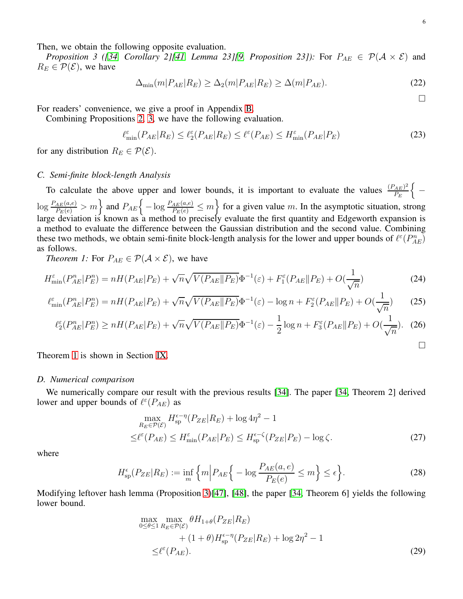<span id="page-5-0"></span>Then, we obtain the following opposite evaluation.

*Proposition 3 ([\[34,](#page-27-24) Corollary 2][\[41,](#page-27-31) Lemma 23][\[9,](#page-26-8) Proposition 23]):* For  $P_{AE} \in \mathcal{P}(\mathcal{A} \times \mathcal{E})$  and  $R_E \in \mathcal{P}(\mathcal{E})$ , we have

$$
\Delta_{\min}(m|P_{AE}|R_E) \ge \Delta_2(m|P_{AE}|R_E) \ge \Delta(m|P_{AE}).\tag{22}
$$

<span id="page-5-8"></span><span id="page-5-4"></span> $\Box$ 

<span id="page-5-7"></span><span id="page-5-6"></span><span id="page-5-5"></span><span id="page-5-3"></span><span id="page-5-2"></span> $\Box$ 

For readers' convenience, we give a proof in Appendix [B.](#page-25-0)

Combining Propositions [2,](#page-4-1) [3,](#page-5-0) we have the following evaluation.

$$
\ell_{\min}^{\varepsilon}(P_{AE}|R_E) \le \ell_2^{\varepsilon}(P_{AE}|R_E) \le \ell^{\varepsilon}(P_{AE}) \le H_{\min}^{\varepsilon}(P_{AE}|P_E)
$$
\n(23)

for any distribution  $R_E \in \mathcal{P}(\mathcal{E})$ .

### *C. Semi-finite block-length Analysis*

To calculate the above upper and lower bounds, it is important to evaluate the values  $\frac{(P_{AE})^2}{P_E}$  $P_E$  $\int$ −  $\log \frac{P_{AE}(a,e)}{P_E(e)} > m$  and  $P_{AE}$   $\left\{-\log \frac{P_{AE}(a,e)}{P_E(e)} \le m\right\}$  for a given value m. In the asymptotic situation, strong large deviation is known as a method to precisely evaluate the first quantity and Edgeworth expansion is a method to evaluate the difference between the Gaussian distribution and the second value. Combining these two methods, we obtain semi-finite block-length analysis for the lower and upper bounds of  $\ell^{\epsilon}(P_{AE}^n)$ as follows.

<span id="page-5-1"></span>*Theorem 1:* For  $P_{AE} \in \mathcal{P}(\mathcal{A} \times \mathcal{E})$ , we have

$$
H_{\min}^{\varepsilon}(P_{AE}^n|P_E^n) = nH(P_{AE}|P_E) + \sqrt{n}\sqrt{V(P_{AE}||P_E)}\Phi^{-1}(\varepsilon) + F_1^{\varepsilon}(P_{AE}||P_E) + O(\frac{1}{\sqrt{n}})
$$
(24)

$$
\ell_{\min}^{\varepsilon}(P_{AE}^n|P_E^n) = nH(P_{AE}|P_E) + \sqrt{n}\sqrt{V(P_{AE}||P_E)}\Phi^{-1}(\varepsilon) - \log n + F_2^{\varepsilon}(P_{AE}||P_E) + O(\frac{1}{\sqrt{n}})
$$
(25)

$$
\ell_2^{\varepsilon}(P_{AE}^n|P_E^n) \ge nH(P_{AE}|P_E) + \sqrt{n}\sqrt{V(P_{AE}||P_E)}\Phi^{-1}(\varepsilon) - \frac{1}{2}\log n + F_3^{\varepsilon}(P_{AE}||P_E) + O(\frac{1}{\sqrt{n}}). \tag{26}
$$

Theorem [1](#page-5-1) is shown in Section [IX.](#page-19-0)

### *D. Numerical comparison*

We numerically compare our result with the previous results [\[34\]](#page-27-24). The paper [\[34,](#page-27-24) Theorem 2] derived lower and upper bounds of  $\ell^{\epsilon}(P_{AE})$  as

$$
\max_{R_E \in \mathcal{P}(\mathcal{E})} H_{\text{sp}}^{\epsilon - \eta} (P_{ZE} | R_E) + \log 4\eta^2 - 1
$$
  

$$
\leq \ell^{\epsilon} (P_{AE}) \leq H_{\min}^{\epsilon} (P_{AE} | P_E) \leq H_{\text{sp}}^{\epsilon - \zeta} (P_{ZE} | P_E) - \log \zeta.
$$
 (27)

where

$$
H_{\rm sp}^{\epsilon}(P_{ZE}|R_E) := \inf_{m} \left\{ m \middle| P_{AE} \right\} - \log \frac{P_{AE}(a,e)}{P_E(e)} \le m \right\} \le \epsilon \left\}.
$$
 (28)

Modifying leftover hash lemma (Proposition [3\)](#page-5-0)[\[47\]](#page-28-0), [\[48\]](#page-28-1), the paper [\[34,](#page-27-24) Theorem 6] yields the following lower bound.

$$
\max_{0 \le \theta \le 1} \max_{R_E \in \mathcal{P}(\mathcal{E})} \theta H_{1+\theta}(P_{ZE}|R_E) + (1+\theta)H_{\text{sp}}^{\epsilon-\eta}(P_{ZE}|R_E) + \log 2\eta^2 - 1
$$
  
 
$$
\le \ell^{\epsilon}(P_{AE}). \tag{29}
$$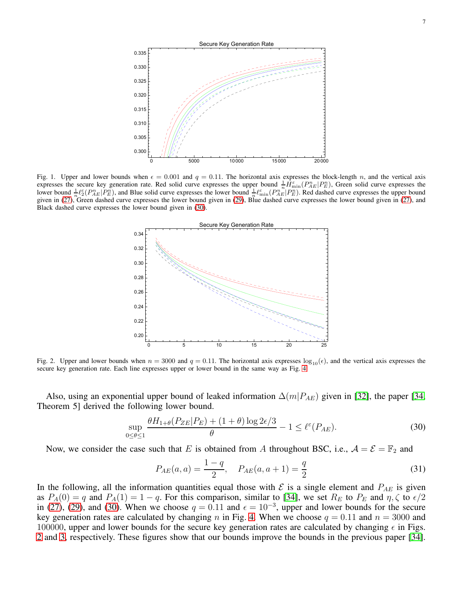

Fig. 1. Upper and lower bounds when  $\epsilon = 0.001$  and  $q = 0.11$ . The horizontal axis expresses the block-length n, and the vertical axis expresses the secure key generation rate. Red solid curve expresses the upper bound  $\frac{1}{n} \tilde{H}_{min}^{\varepsilon}(P_{AE}^n|P_E^n)$ , Green solid curve expresses the lower bound  $\frac{1}{n} \ell_{\geq}^{\varepsilon}(P_{AE}^n | P_E^n)$ , and Blue solid curve expresses the lower bound  $\frac{1}{n} \ell_{\min}^{\varepsilon}(P_{AE}^n | P_E^n)$ . Red dashed curve expresses the upper bound given in [\(27\)](#page-5-2), Green dashed curve expresses the lower bound given in [\(29\)](#page-5-3), Blue dashed curve expresses the lower bound given in (27), and Black dashed curve expresses the lower bound given in [\(30\)](#page-6-0).



<span id="page-6-1"></span>Fig. 2. Upper and lower bounds when  $n = 3000$  and  $q = 0.11$ . The horizontal axis expresses  $\log_{10}(\epsilon)$ , and the vertical axis expresses the secure key generation rate. Each line expresses upper or lower bound in the same way as Fig. [4.](#page-15-0)

Also, using an exponential upper bound of leaked information  $\Delta(m|P_{AE})$  given in [\[32\]](#page-27-22), the paper [\[34,](#page-27-24) Theorem 5] derived the following lower bound.

$$
\sup_{0 \le \theta \le 1} \frac{\theta H_{1+\theta}(P_{ZE}|P_E) + (1+\theta)\log 2\epsilon/3}{\theta} - 1 \le \ell^{\epsilon}(P_{AE}).
$$
\n(30)

Now, we consider the case such that E is obtained from A throughout BSC, i.e.,  $A = \mathcal{E} = \mathbb{F}_2$  and

<span id="page-6-0"></span>
$$
P_{AE}(a, a) = \frac{1 - q}{2}, \quad P_{AE}(a, a + 1) = \frac{q}{2}
$$
\n(31)

In the following, all the information quantities equal those with  $\mathcal E$  is a single element and  $P_{AE}$  is given as  $P_A(0) = q$  and  $P_A(1) = 1 - q$ . For this comparison, similar to [\[34\]](#page-27-24), we set  $R_E$  to  $P_E$  and  $\eta, \zeta$  to  $\epsilon/2$ in [\(27\)](#page-5-2), [\(29\)](#page-5-3), and [\(30\)](#page-6-0). When we choose  $q = 0.11$  and  $\epsilon = 10^{-3}$ , upper and lower bounds for the secure key generation rates are calculated by changing n in Fig. [4.](#page-15-0) When we choose  $q = 0.11$  and  $n = 3000$  and 100000, upper and lower bounds for the secure key generation rates are calculated by changing  $\epsilon$  in Figs. [2](#page-6-1) and [3,](#page-7-0) respectively. These figures show that our bounds improve the bounds in the previous paper [\[34\]](#page-27-24).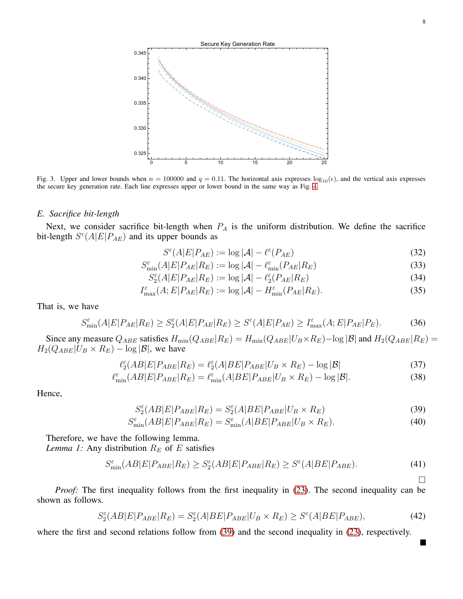

<span id="page-7-0"></span>Fig. 3. Upper and lower bounds when  $n = 100000$  and  $q = 0.11$ . The horizontal axis expresses  $log_{10}(\epsilon)$ , and the vertical axis expresses the secure key generation rate. Each line expresses upper or lower bound in the same way as Fig. [4.](#page-15-0)

## *E. Sacrifice bit-length*

Next, we consider sacrifice bit-length when  $P_A$  is the uniform distribution. We define the sacrifice bit-length  $S^{\epsilon}(A|E|P_{AE})$  and its upper bounds as

$$
S^{\varepsilon}(A|E|P_{AE}) := \log |\mathcal{A}| - \ell^{\varepsilon}(P_{AE})
$$
\n(32)

$$
S_{\min}^{\varepsilon}(A|E|P_{AE}|R_E) := \log |\mathcal{A}| - \ell_{\min}^{\varepsilon}(P_{AE}|R_E)
$$
\n(33)

$$
S_2^{\varepsilon}(A|E|P_{AE}|R_E) := \log |\mathcal{A}| - \ell_2^{\varepsilon}(P_{AE}|R_E)
$$
\n(34)

$$
I_{\max}^{\varepsilon}(A;E|P_{AE}|R_E) := \log |\mathcal{A}| - H_{\min}^{\varepsilon}(P_{AE}|R_E). \tag{35}
$$

That is, we have

$$
S_{\min}^{\varepsilon}(A|E|P_{AE}|R_E) \ge S_2^{\varepsilon}(A|E|P_{AE}|R_E) \ge S^{\varepsilon}(A|E|P_{AE}) \ge I_{\max}^{\varepsilon}(A;E|P_{AE}|P_E). \tag{36}
$$

Since any measure  $Q_{ABE}$  satisfies  $H_{min}(Q_{ABE}|R_E) = H_{min}(Q_{ABE}|U_B \times R_E) - \log |\mathcal{B}|$  and  $H_2(Q_{ABE}|R_E) =$  $H_2(Q_{ABE}|U_B \times R_E) - \log |\mathcal{B}|$ , we have

$$
\ell_2^{\varepsilon}(AB|E|P_{ABE}|R_E) = \ell_2^{\varepsilon}(A|BE|P_{ABE}|U_B \times R_E) - \log|\mathcal{B}| \tag{37}
$$

$$
\ell_{\min}^{\varepsilon}(AB|E|P_{ABE}|R_E) = \ell_{\min}^{\varepsilon}(A|BE|P_{ABE}|U_B \times R_E) - \log|\mathcal{B}|.
$$
\n(38)

Hence,

<span id="page-7-2"></span>
$$
S_2^{\varepsilon}(AB|E|P_{ABE}|R_E) = S_2^{\varepsilon}(A|BE|P_{ABE}|U_B \times R_E)
$$
\n(39)

$$
S_{\min}^{\varepsilon}(AB|E|P_{ABE}|R_E) = S_{\min}^{\varepsilon}(A|BE|P_{ABE}|U_B \times R_E). \tag{40}
$$

Therefore, we have the following lemma.

*Lemma 1:* Any distribution  $R_E$  of  $E$  satisfies

$$
S_{\min}^{\varepsilon}(AB|E|P_{ABE}|R_E) \ge S_2^{\varepsilon}(AB|E|P_{ABE}|R_E) \ge S^{\varepsilon}(A|BE|P_{ABE}).\tag{41}
$$

*Proof:* The first inequality follows from the first inequality in [\(23\)](#page-5-4). The second inequality can be shown as follows.

$$
S_2^{\varepsilon}(AB|E|P_{ABE}|R_E) = S_2^{\varepsilon}(A|BE|P_{ABE}|U_B \times R_E) \ge S^{\varepsilon}(A|BE|P_{ABE}),\tag{42}
$$

where the first and second relations follow from [\(39\)](#page-7-1) and the second inequality in [\(23\)](#page-5-4), respectively.

<span id="page-7-1"></span> $\Box$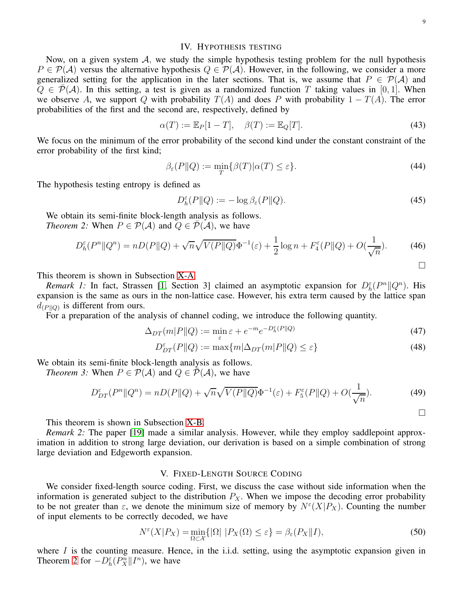<span id="page-8-4"></span> $\Box$ 

<span id="page-8-5"></span> $\Box$ 

#### IV. HYPOTHESIS TESTING

<span id="page-8-0"></span>Now, on a given system  $A$ , we study the simple hypothesis testing problem for the null hypothesis  $P \in \mathcal{P}(\mathcal{A})$  versus the alternative hypothesis  $Q \in \mathcal{P}(\mathcal{A})$ . However, in the following, we consider a more generalized setting for the application in the later sections. That is, we assume that  $P \in \mathcal{P}(\mathcal{A})$  and  $Q \in \overline{\mathcal{P}}(\mathcal{A})$ . In this setting, a test is given as a randomized function T taking values in [0, 1]. When we observe A, we support Q with probability  $T(A)$  and does P with probability  $1 - T(A)$ . The error probabilities of the first and the second are, respectively, defined by

$$
\alpha(T) := \mathbb{E}_P[1 - T], \quad \beta(T) := \mathbb{E}_Q[T]. \tag{43}
$$

We focus on the minimum of the error probability of the second kind under the constant constraint of the error probability of the first kind;

$$
\beta_{\varepsilon}(P||Q) := \min_{T} \{ \beta(T) | \alpha(T) \le \varepsilon \}. \tag{44}
$$

The hypothesis testing entropy is defined as

<span id="page-8-2"></span>
$$
D_h^{\varepsilon}(P||Q) := -\log \beta_{\varepsilon}(P||Q). \tag{45}
$$

We obtain its semi-finite block-length analysis as follows. *Theorem 2:* When  $P \in \mathcal{P}(\mathcal{A})$  and  $Q \in \mathcal{P}(\mathcal{A})$ , we have

$$
D_h^{\varepsilon}(P^n \| Q^n) = nD(P \| Q) + \sqrt{n} \sqrt{V(P \| Q)} \Phi^{-1}(\varepsilon) + \frac{1}{2} \log n + F_4^{\varepsilon}(P \| Q) + O(\frac{1}{\sqrt{n}}). \tag{46}
$$

This theorem is shown in Subsection [X-A.](#page-23-1)

*Remark 1:* In fact, Strassen [\[1,](#page-26-0) Section 3] claimed an asymptotic expansion for  $D_h^{\varepsilon}(P^n \| Q^n)$ . His expansion is the same as ours in the non-lattice case. However, his extra term caused by the lattice span  $d_{(P||Q)}$  is different from ours.

For a preparation of the analysis of channel coding, we introduce the following quantity.

$$
\Delta_{DT}(m|P||Q) := \min_{\varepsilon} \varepsilon + e^{-m} e^{-D_h^{\varepsilon}(P||Q)} \tag{47}
$$

<span id="page-8-3"></span>
$$
D_{DT}^{\varepsilon}(P||Q) := \max\{m|\Delta_{DT}(m|P||Q) \le \varepsilon\}
$$
\n(48)

We obtain its semi-finite block-length analysis as follows.

*Theorem 3:* When  $P \in \mathcal{P}(\mathcal{A})$  and  $Q \in \mathcal{P}(\mathcal{A})$ , we have

$$
D_{DT}^{\varepsilon}(P^n \| Q^n) = nD(P \| Q) + \sqrt{n} \sqrt{V(P \| Q)} \Phi^{-1}(\varepsilon) + F_5^{\varepsilon}(P \| Q) + O(\frac{1}{\sqrt{n}}). \tag{49}
$$

This theorem is shown in Subsection [X-B.](#page-23-2)

*Remark 2:* The paper [\[19\]](#page-27-9) made a similar analysis. However, while they employ saddlepoint approximation in addition to strong large deviation, our derivation is based on a simple combination of strong large deviation and Edgeworth expansion.

# V. FIXED-LENGTH SOURCE CODING

<span id="page-8-1"></span>We consider fixed-length source coding. First, we discuss the case without side information when the information is generated subject to the distribution  $P_X$ . When we impose the decoding error probability to be not greater than  $\varepsilon$ , we denote the minimum size of memory by  $N^{\varepsilon}(X|P_X)$ . Counting the number of input elements to be correctly decoded, we have

$$
N^{\varepsilon}(X|P_X) = \min_{\Omega \subset \mathcal{X}} \{ |\Omega| \ | P_X(\Omega) \le \varepsilon \} = \beta_{\varepsilon}(P_X \| I), \tag{50}
$$

where  $I$  is the counting measure. Hence, in the i.i.d. setting, using the asymptotic expansion given in Theorem [2](#page-8-2) for  $-D_h^{\varepsilon}(P_X^n||I^n)$ , we have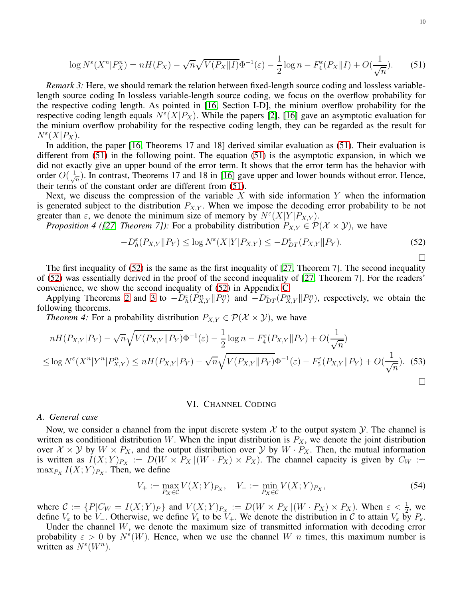$$
\log N^{\varepsilon}(X^n | P_X^n) = nH(P_X) - \sqrt{n} \sqrt{V(P_X || I)} \Phi^{-1}(\varepsilon) - \frac{1}{2} \log n - F_4^{\varepsilon}(P_X || I) + O(\frac{1}{\sqrt{n}}). \tag{51}
$$

*Remark 3:* Here, we should remark the relation between fixed-length source coding and lossless variablelength source coding In lossless variable-length source coding, we focus on the overflow probability for the respective coding length. As pointed in [\[16,](#page-27-6) Section I-D], the minium overflow probability for the respective coding length equals  $N^{\epsilon}(X|P_X)$ . While the papers [\[2\]](#page-26-1), [\[16\]](#page-27-6) gave an asymptotic evaluation for the minium overflow probability for the respective coding length, they can be regarded as the result for  $N^{\varepsilon}(X|P_X).$ 

In addition, the paper [\[16,](#page-27-6) Theorems 17 and 18] derived similar evaluation as [\(51\)](#page-9-1). Their evaluation is different from [\(51\)](#page-9-1) in the following point. The equation [\(51\)](#page-9-1) is the asymptotic expansion, in which we did not exactly give an upper bound of the error term. It shows that the error term has the behavior with order  $O(\frac{1}{\sqrt{2}})$  $\frac{1}{n}$ ). In contrast, Theorems 17 and 18 in [\[16\]](#page-27-6) gave upper and lower bounds without error. Hence, their terms of the constant order are different from [\(51\)](#page-9-1).

Next, we discuss the compression of the variable X with side information Y when the information is generated subject to the distribution  $P_{X,Y}$ . When we impose the decoding error probability to be not greater than  $\varepsilon$ , we denote the minimum size of memory by  $N^{\varepsilon}(X|Y|P_{X,Y})$ .

*Proposition 4 ([\[27,](#page-27-17) Theorem 7]):* For a probability distribution  $P_{X,Y} \in \mathcal{P}(\mathcal{X} \times \mathcal{Y})$ , we have

<span id="page-9-5"></span><span id="page-9-1"></span>
$$
-D_h^{\varepsilon}(P_{X,Y} \| P_Y) \le \log N^{\varepsilon}(X|Y|P_{X,Y}) \le -D_{DT}^{\varepsilon}(P_{X,Y} \| P_Y). \tag{52}
$$

The first inequality of [\(52\)](#page-9-2) is the same as the first inequality of [\[27,](#page-27-17) Theorem 7]. The second inequality of [\(52\)](#page-9-2) was essentially derived in the proof of the second inequality of [\[27,](#page-27-17) Theorem 7]. For the readers' convenience, we show the second inequality of [\(52\)](#page-9-2) in Appendix [C.](#page-26-9)

<span id="page-9-4"></span>Applying Theorems [2](#page-8-2) and [3](#page-8-3) to  $-D_h^{\varepsilon}(P_{X,Y}^n||P_Y^n)$  and  $-D_{DT}^{\varepsilon}(P_{X,Y}^n||P_Y^n)$ , respectively, we obtain the following theorems.

*Theorem 4:* For a probability distribution  $P_{X,Y} \in \mathcal{P}(\mathcal{X} \times \mathcal{Y})$ , we have

$$
nH(P_{X,Y}|P_Y) - \sqrt{n}\sqrt{V(P_{X,Y}||P_Y)}\Phi^{-1}(\varepsilon) - \frac{1}{2}\log n - F_4^{\varepsilon}(P_{X,Y}||P_Y) + O(\frac{1}{\sqrt{n}})
$$
  

$$
\leq \log N^{\varepsilon}(X^n|Y^n|P_{X,Y}^n) \leq nH(P_{X,Y}|P_Y) - \sqrt{n}\sqrt{V(P_{X,Y}||P_Y)}\Phi^{-1}(\varepsilon) - F_5^{\varepsilon}(P_{X,Y}||P_Y) + O(\frac{1}{\sqrt{n}}). \tag{53}
$$

#### <span id="page-9-2"></span>VI. CHANNEL CODING

#### <span id="page-9-0"></span>*A. General case*

Now, we consider a channel from the input discrete system  $X$  to the output system  $Y$ . The channel is written as conditional distribution W. When the input distribution is  $P_X$ , we denote the joint distribution over  $X \times Y$  by  $W \times P_X$ , and the output distribution over  $Y$  by  $W \cdot P_X$ . Then, the mutual information is written as  $I(X;Y)_{P_X} := D(W \times P_X || (W \cdot P_X) \times P_X)$ . The channel capacity is given by  $C_W :=$  $\max_{P_X} I(X;Y)_{P_X}$ . Then, we define

$$
V_{+} := \max_{P_X \in \mathcal{C}} V(X;Y)_{P_X}, \quad V_{-} := \min_{P_X \in \mathcal{C}} V(X;Y)_{P_X},
$$
\n(54)

where  $C := \{P|C_W = I(X;Y)_P\}$  and  $V(X;Y)_{P_X} := D(W \times P_X || (W \cdot P_X) \times P_X)$ . When  $\varepsilon < \frac{1}{2}$ , we define  $V_{\varepsilon}$  to be  $V_{-}$ . Otherwise, we define  $V_{\varepsilon}$  to be  $V_{+}$ . We denote the distribution in C to attain  $V_{\varepsilon}$  by  $P_{\varepsilon}$ .

<span id="page-9-3"></span>Under the channel  $W$ , we denote the maximum size of transmitted information with decoding error probability  $\varepsilon > 0$  by  $N^{\varepsilon}(W)$ . Hence, when we use the channel W n times, this maximum number is written as  $N^{\varepsilon}(W^n)$ .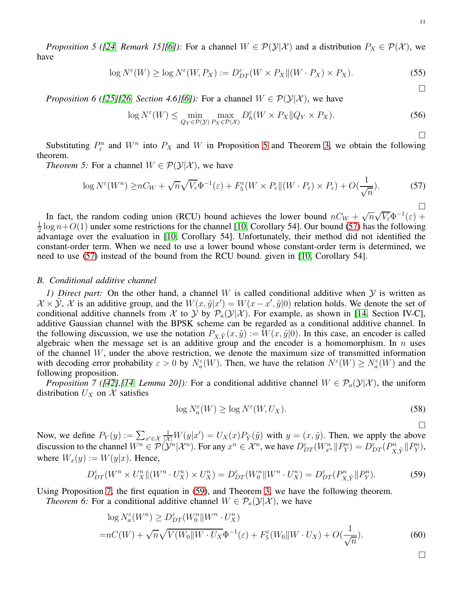*Proposition 5 ([\[24,](#page-27-14) Remark 15][\[6\]](#page-26-5)):* For a channel  $W \in \mathcal{P}(\mathcal{Y}|\mathcal{X})$  and a distribution  $P_X \in \mathcal{P}(\mathcal{X})$ , we have

$$
\log N^{\varepsilon}(W) \ge \log N^{\varepsilon}(W, P_X) := D_{DT}^{\varepsilon}(W \times P_X || (W \cdot P_X) \times P_X). \tag{55}
$$

 $\Box$ 

 $\Box$ 

<span id="page-10-0"></span> $\Box$ 

<span id="page-10-4"></span>*Proposition 6 ([\[25\]](#page-27-15)[\[26,](#page-27-16) Section 4.6][\[6\]](#page-26-5)):* For a channel  $W \in \mathcal{P}(\mathcal{Y}|\mathcal{X})$ , we have

$$
\log N^{\varepsilon}(W) \le \min_{Q_Y \in \mathcal{P}(\mathcal{Y})} \max_{P_X \in \mathcal{P}(\mathcal{X})} D_h^{\varepsilon}(W \times P_X || Q_Y \times P_X). \tag{56}
$$

Substituting  $P_{\varepsilon}^n$  and  $W^n$  into  $P_X$  and W in Proposition [5](#page-9-3) and Theorem [3,](#page-8-3) we obtain the following theorem.

*Theorem 5:* For a channel  $W \in \mathcal{P}(\mathcal{Y}|\mathcal{X})$ , we have

$$
\log N^{\varepsilon}(W^n) \ge nC_W + \sqrt{n}\sqrt{V_{\varepsilon}}\Phi^{-1}(\varepsilon) + F_5^{\varepsilon}(W \times P_{\varepsilon} || (W \cdot P_{\varepsilon}) \times P_{\varepsilon}) + O(\frac{1}{\sqrt{n}}). \tag{57}
$$

In fact, the random coding union (RCU) bound achieves the lower bound  $nC_W + \sqrt{n}\sqrt{V_{\varepsilon}}\Phi^{-1}(\varepsilon)$  + 1  $\frac{1}{2}$  log  $n+O(1)$  under some restrictions for the channel [\[10,](#page-27-0) Corollary 54]. Our bound [\(57\)](#page-10-0) has the following advantage over the evaluation in [\[10,](#page-27-0) Corollary 54]. Unfortunately, their method did not identified the constant-order term. When we need to use a lower bound whose constant-order term is determined, we need to use [\(57\)](#page-10-0) instead of the bound from the RCU bound. given in [\[10,](#page-27-0) Corollary 54].

### *B. Conditional additive channel*

*1) Direct part:* On the other hand, a channel W is called conditional additive when Y is written as  $\mathcal{X} \times \tilde{\mathcal{Y}}, \mathcal{X}$  is an additive group, and the  $W(x, \tilde{y}|x') = W(x - x', \tilde{y}|0)$  relation holds. We denote the set of conditional additive channels from X to Y by  $\mathcal{P}_a(\mathcal{Y}|\mathcal{X})$ . For example, as shown in [\[14,](#page-27-4) Section IV-C], additive Gaussian channel with the BPSK scheme can be regarded as a conditional additive channel. In the following discussion, we use the notation  $P_{X,\tilde{Y}}(x,\tilde{y}) := W(x,\tilde{y}|0)$ . In this case, an encoder is called algebraic when the message set is an additive group and the encoder is a homomorphism. In  $n$  uses of the channel W, under the above restriction, we denote the maximum size of transmitted information with decoding error probability  $\varepsilon > 0$  by  $N_a^{\varepsilon}(W)$ . Then, we have the relation  $N^{\varepsilon}(W) \ge N_a^{\varepsilon}(W)$  and the following proposition.

*Proposition 7 (*[\[42\]](#page-27-32),[\[14,](#page-27-4) *Lemma 20]*): For a conditional additive channel  $W \in \mathcal{P}_a(\mathcal{Y}|\mathcal{X})$ , the uniform distribution  $U_X$  on X satisfies

<span id="page-10-1"></span>
$$
\log N_a^{\varepsilon}(W) \ge \log N^{\varepsilon}(W, U_X). \tag{58}
$$

<span id="page-10-5"></span><span id="page-10-3"></span><span id="page-10-2"></span> $\Box$ 

Now, we define  $P_Y(y) := \sum_{x' \in \mathcal{X}} \frac{1}{|\mathcal{X}|} W(y|x') = U_X(x) P_{\tilde{Y}}(\tilde{y})$  with  $y = (x, \tilde{y})$ . Then, we apply the above discussion to the channel  $W^n \in \mathcal{P}(\mathcal{Y}^n | \mathcal{X}^n)$ . For any  $x^n \in \mathcal{X}^n$ , we have  $D_{DT}^{\varepsilon}(W^n_{x^n} || P^n_Y) = D_{DT}^{\varepsilon}(P^n_{X,\tilde{Y}} || P^n_{Y}),$ where  $W_x(y) := W(y|x)$ . Hence,

$$
D_{DT}^{\varepsilon}(W^n \times U_X^n \parallel (W^n \cdot U_X^n) \times U_X^n) = D_{DT}^{\varepsilon}(W_0^n \parallel W^n \cdot U_X^n) = D_{DT}^{\varepsilon}(P_{X,\tilde{Y}}^n \parallel P_Y^n). \tag{59}
$$

Using Proposition [7,](#page-10-1) the first equation in [\(59\)](#page-10-2), and Theorem [3,](#page-8-3) we have the following theorem.

*Theorem 6:* For a conditional additive channel  $W \in \mathcal{P}_a(\mathcal{Y}|\mathcal{X})$ , we have

$$
\log N_a^{\varepsilon}(W^n) \ge D_{DT}^{\varepsilon}(W_0^n \| W^n \cdot U_X^n)
$$
  
=
$$
nC(W) + \sqrt{n} \sqrt{V(W_0 \| W \cdot U_X \Phi^{-1}(\varepsilon) + F_5^{\varepsilon}(W_0 \| W \cdot U_X) + O(\frac{1}{\sqrt{n}})}.
$$
 (60)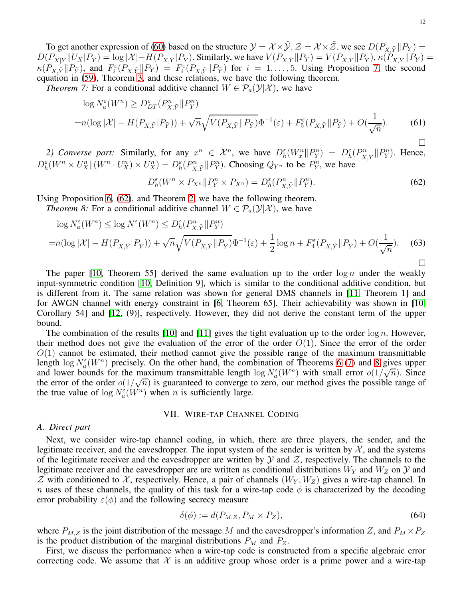To get another expression of [\(60\)](#page-10-3) based on the structure  $\mathcal{Y} = \mathcal{X} \times \tilde{\mathcal{Y}}, \mathcal{Z} = \mathcal{X} \times \tilde{\mathcal{Z}}$ . we see  $D(P_{X, \tilde{Y}} || P_{Y}) =$  $D(P_{X|\tilde{Y}}||U_X|P_{\tilde{Y}}) = \log |\mathcal{X}| - H(P_{X,\tilde{Y}}|P_{\tilde{Y}})$ . Similarly, we have  $V(P_{X,\tilde{Y}}||P_{Y}) = V(P_{X,\tilde{Y}}||P_{\tilde{Y}})$ ,  $\kappa(\tilde{P}_{X,\tilde{Y}}||P_{Y}) =$  $\kappa(P_{X,\tilde{Y}}||P_{\tilde{Y}})$ , and  $F_i^{\varepsilon}(P_{X,\tilde{Y}}||P_{Y}) = F_i^{\varepsilon}(P_{X,\tilde{Y}}||P_{\tilde{Y}})$  for  $i = 1,\ldots,5$ . Using Proposition [7,](#page-10-1) the second equation in [\(59\)](#page-10-2), Theorem [3,](#page-8-3) and these relations, we have the following theorem.

*Theorem 7:* For a conditional additive channel  $W \in \mathcal{P}_a(\mathcal{Y}|\mathcal{X})$ , we have

$$
\log N_a^{\varepsilon}(W^n) \ge D_{DT}^{\varepsilon}(P_{X,\tilde{Y}}^n \| P_Y^n)
$$
  
= $n(\log |\mathcal{X}| - H(P_{X,\tilde{Y}}|P_{\tilde{Y}})) + \sqrt{n} \sqrt{V(P_{X,\tilde{Y}}\|P_{\tilde{Y}})} \Phi^{-1}(\varepsilon) + F_5^{\varepsilon}(P_{X,\tilde{Y}}\|P_{\tilde{Y}}) + O(\frac{1}{\sqrt{n}}).$  (61)

2) Converse part: Similarly, for any  $x^n \in \mathcal{X}^n$ , we have  $D_h^{\varepsilon}(W_x^n \| P_Y^n) = D_h^{\varepsilon}(P_{X,\tilde{Y}}^n \| P_Y^n)$ . Hence,  $D_h^{\varepsilon}(W^n \times U_X^n || (W^n \cdot U_X^n) \times U_X^n) = D_h^{\varepsilon}(P_{X,\tilde{Y}}^n || P_Y^n)$ . Choosing  $Q_{Y^n}$  to be  $P_Y^n$ , we have

$$
D_h^{\varepsilon}(W^n \times P_{X^n} \| P_Y^n \times P_{X^n}) = D_h^{\varepsilon}(P_{X,\tilde{Y}}^n \| P_Y^n). \tag{62}
$$

Using Proposition [6,](#page-10-4) [\(62\)](#page-11-1), and Theorem [2,](#page-8-2) we have the following theorem.

*Theorem 8:* For a conditional additive channel  $W \in \mathcal{P}_a(\mathcal{Y}|\mathcal{X})$ , we have

$$
\log N_a^{\varepsilon}(W^n) \le \log N^{\varepsilon}(W^n) \le D_h^{\varepsilon}(P_{X,\tilde{Y}}^n \| P_Y^n)
$$
  
=
$$
n(\log |\mathcal{X}| - H(P_{X,\tilde{Y}}|P_{\tilde{Y}})) + \sqrt{n} \sqrt{V(P_{X,\tilde{Y}}\|P_{\tilde{Y}})} \Phi^{-1}(\varepsilon) + \frac{1}{2} \log n + F_4^{\varepsilon}(P_{X,\tilde{Y}}\|P_{\tilde{Y}}) + O(\frac{1}{\sqrt{n}}). \tag{63}
$$

The paper [\[10,](#page-27-0) Theorem 55] derived the same evaluation up to the order  $\log n$  under the weakly input-symmetric condition [\[10,](#page-27-0) Definition 9], which is similar to the conditional additive condition, but is different from it. The same relation was shown for general DMS channels in [\[11,](#page-27-1) Theorem 1] and for AWGN channel with energy constraint in [\[6,](#page-26-5) Theorem 65]. Their achievability was shown in [\[10,](#page-27-0) Corollary 54] and [\[12,](#page-27-2) (9)], respectively. However, they did not derive the constant term of the upper bound.

The combination of the results [\[10\]](#page-27-0) and [\[11\]](#page-27-1) gives the tight evaluation up to the order  $\log n$ . However, their method does not give the evaluation of the error of the order  $O(1)$ . Since the error of the order  $O(1)$  cannot be estimated, their method cannot give the possible range of the maximum transmittable length  $\log N_a^{\epsilon}(W^n)$  precisely. On the other hand, the combination of Theorems [6](#page-10-5) [\(7\)](#page-11-2) and [8](#page-11-3) gives upper and lower bounds for the maximum transmittable length  $\log N_a^{\varepsilon}(W^n)$  with small error  $o(1/\sqrt{n})$ . Since the error of the order  $o(1/\sqrt{n})$  is guaranteed to converge to zero, our method gives the possible range of the true value of  $\log N_a^{\varepsilon}(W^n)$  when *n* is sufficiently large.

### VII. WIRE-TAP CHANNEL CODING

#### <span id="page-11-0"></span>*A. Direct part*

Next, we consider wire-tap channel coding, in which, there are three players, the sender, and the legitimate receiver, and the eavesdropper. The input system of the sender is written by  $\mathcal{X}$ , and the systems of the legitimate receiver and the eavesdropper are written by  $\mathcal Y$  and  $\mathcal Z$ , respectively. The channels to the legitimate receiver and the eavesdropper are are written as conditional distributions  $W<sub>Y</sub>$  and  $W<sub>Z</sub>$  on  $Y$  and  $Z$  with conditioned to X, respectively. Hence, a pair of channels  $(W_Y, W_Z)$  gives a wire-tap channel. In n uses of these channels, the quality of this task for a wire-tap code  $\phi$  is characterized by the decoding error probability  $\varepsilon(\phi)$  and the following secrecy measure

$$
\delta(\phi) := d(P_{M,Z}, P_M \times P_Z),\tag{64}
$$

where  $P_{M,Z}$  is the joint distribution of the message M and the eavesdropper's information Z, and  $P_M \times P_Z$ is the product distribution of the marginal distributions  $P_M$  and  $P_Z$ .

First, we discuss the performance when a wire-tap code is constructed from a specific algebraic error correcting code. We assume that  $\mathcal X$  is an additive group whose order is a prime power and a wire-tap

<span id="page-11-3"></span><span id="page-11-2"></span><span id="page-11-1"></span>П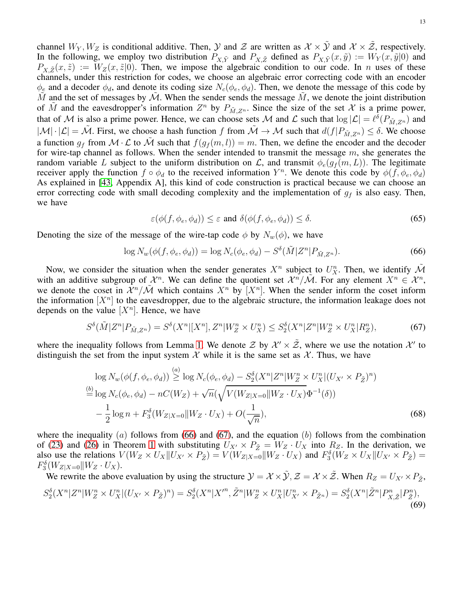channel  $W_Y, W_Z$  is conditional additive. Then,  $\mathcal Y$  and  $\mathcal Z$  are written as  $\mathcal X \times \tilde{\mathcal Y}$  and  $\mathcal X \times \tilde{\mathcal Z}$ , respectively. In the following, we employ two distribution  $P_{X,\tilde{Y}}$  and  $P_{X,\tilde{Z}}$  defined as  $P_{X,\tilde{Y}}(x,\tilde{y}) := W_Y(x,\tilde{y}|0)$  and  $P_{X,\tilde{Z}}(x,\tilde{z}) := W_Z(x,\tilde{z}|0)$ . Then, we impose the algebraic condition to our code. In *n* uses of these channels, under this restriction for codes, we choose an algebraic error correcting code with an encoder  $\phi_e$  and a decoder  $\phi_d$ , and denote its coding size  $N_c(\phi_e, \phi_d)$ . Then, we denote the message of this code by M and the set of messages by  $\mathcal M$ . When the sender sends the message  $\tilde M$ , we denote the joint distribution of  $\tilde{M}$  and the eavesdropper's information  $Z^n$  by  $P_{\tilde{M},Z^n}$ . Since the size of the set  $\mathcal{X}$  is a prime power, that of M is also a prime power. Hence, we can choose sets M and L such that  $\log |\mathcal{L}| = \ell^{\delta}(P_{\tilde{M},Z^n})$  and  $|\mathcal{M}| \cdot |\mathcal{L}| = \tilde{\mathcal{M}}$ . First, we choose a hash function f from  $\tilde{\mathcal{M}} \to \mathcal{M}$  such that  $d(f|P_{\tilde{M},Z^n}) \leq \delta$ . We choose a function  $q_f$  from  $\mathcal{M} \cdot \mathcal{L}$  to  $\tilde{\mathcal{M}}$  such that  $f(q_f(m, l)) = m$ . Then, we define the encoder and the decoder for wire-tap channel as follows. When the sender intended to transmit the message  $m$ , she generates the random variable L subject to the uniform distribution on L, and transmit  $\phi_e(g_f(m, L))$ . The legitimate receiver apply the function  $f \circ \phi_d$  to the received information  $Y^n$ . We denote this code by  $\phi(f, \phi_e, \phi_d)$ As explained in [\[43,](#page-27-33) Appendix A], this kind of code construction is practical because we can choose an error correcting code with small decoding complexity and the implementation of  $g_f$  is also easy. Then, we have

<span id="page-12-4"></span><span id="page-12-3"></span><span id="page-12-1"></span><span id="page-12-0"></span>
$$
\varepsilon(\phi(f, \phi_e, \phi_d)) \le \varepsilon \text{ and } \delta(\phi(f, \phi_e, \phi_d)) \le \delta. \tag{65}
$$

Denoting the size of the message of the wire-tap code  $\phi$  by  $N_w(\phi)$ , we have

$$
\log N_w(\phi(f, \phi_e, \phi_d)) = \log N_c(\phi_e, \phi_d) - S^{\delta}(\tilde{M}|Z^n|P_{\tilde{M}, Z^n}).
$$
\n(66)

Now, we consider the situation when the sender generates  $X^n$  subject to  $U^n_X$ . Then, we identify  $\tilde{\mathcal{M}}$ with an additive subgroup of  $\mathcal{X}^n$ . We can define the quotient set  $\mathcal{X}^n/\mathcal{M}$ . For any element  $X^n \in \mathcal{X}^n$ , we denote the coset in  $\mathcal{X}^n/\mathcal{M}$  which contains  $X^n$  by  $[X^n]$ . When the sender inform the coset inform the information  $[X^n]$  to the eavesdropper, due to the algebraic structure, the information leakage does not depends on the value  $[X^n]$ . Hence, we have

$$
S^{\delta}(\tilde{M}|Z^{n}|P_{\tilde{M},Z^{n}}) = S^{\delta}(X^{n}|[X^{n}],Z^{n}|W_{Z}^{n} \times U_{X}^{n}) \leq S^{\delta}_{2}(X^{n}|Z^{n}|W_{Z}^{n} \times U_{X}^{n}|R_{Z}^{n}), \tag{67}
$$

where the inequality follows from Lemma [1.](#page-7-2) We denote  $\mathcal{Z}$  by  $\mathcal{X}' \times \tilde{\mathcal{Z}}$ , where we use the notation  $\mathcal{X}'$  to distinguish the set from the input system X while it is the same set as X. Thus, we have

<span id="page-12-2"></span>
$$
\log N_w(\phi(f, \phi_e, \phi_d)) \stackrel{(a)}{\geq} \log N_c(\phi_e, \phi_d) - S_2^{\delta} (X^n | Z^n | W_Z^n \times U_X^n | (U_{X'} \times P_{\tilde{Z}})^n)
$$
  
\n
$$
\stackrel{(b)}{=} \log N_c(\phi_e, \phi_d) - nC(W_Z) + \sqrt{n} (\sqrt{V(W_{Z|X=0} || W_Z \cdot U_X)} \Phi^{-1}(\delta))
$$
  
\n
$$
- \frac{1}{2} \log n + F_3^{\delta} (W_{Z|X=0} || W_Z \cdot U_X) + O(\frac{1}{\sqrt{n}}),
$$
\n(68)

where the inequality (a) follows from [\(66\)](#page-12-0) and [\(67\)](#page-12-1), and the equation (b) follows from the combination of [\(23\)](#page-5-4) and [\(26\)](#page-5-5) in Theorem [1](#page-5-1) with substituting  $U_{X'} \times P_{\tilde{Z}} = W_Z \cdot U_X$  into  $R_Z$ . In the derivation, we also use the relations  $V(W_Z \times U_X || U_{X'} \times P_{\tilde{Z}}) = V(W_{Z|X=0} || W_Z \cdot U_X)$  and  $F_3(\tilde{W}_Z \times U_X || U_{X'} \times P_{\tilde{Z}}) =$  $F_3^{\delta}(W_{Z|X=0}||W_Z \cdot U_X).$ 

We rewrite the above evaluation by using the structure  $\mathcal{Y} = \mathcal{X} \times \tilde{\mathcal{Y}}, \mathcal{Z} = \mathcal{X} \times \tilde{\mathcal{Z}}$ . When  $R_Z = U_{X'} \times P_{\tilde{Z}}$ ,  $S_2^{\delta}(X^n|Z^n|W_Z^n \times U_X^n|(U_{X'} \times P_{\tilde{Z}})^n) = S_2^{\delta}(X^n|X'^n, \tilde{Z}^n|W_Z^n \times U_X^n|U_{X'}^n \times P_{\tilde{Z}^n}) = S_2^{\delta}(X^n|\tilde{Z}^n|P_{X,\tilde{Z}}^n|P_{\tilde{Z}}^n)$ (69)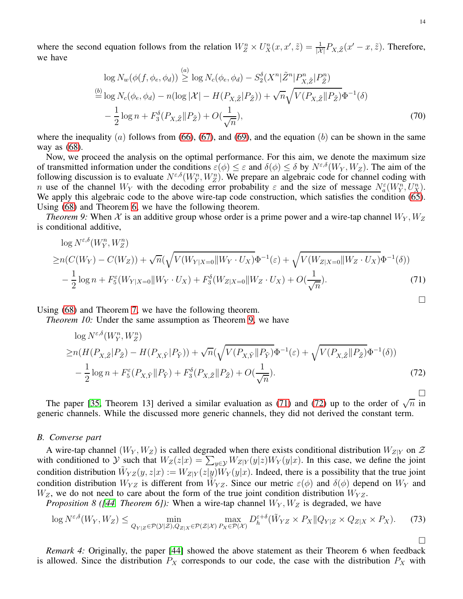where the second equation follows from the relation  $W_Z^n \times U_X^n(x, x', \tilde{z}) = \frac{1}{|\mathcal{X}|} P_{X, \tilde{Z}}(x' - x, \tilde{z})$ . Therefore, we have

$$
\log N_w(\phi(f, \phi_e, \phi_d)) \stackrel{(a)}{\geq} \log N_c(\phi_e, \phi_d) - S_2^{\delta}(X^n | \tilde{Z}^n | P_{X, \tilde{Z}}^n | P_{\tilde{Z}}^n)
$$
  
\n
$$
\stackrel{(b)}{=} \log N_c(\phi_e, \phi_d) - n(\log |\mathcal{X}| - H(P_{X, \tilde{Z}} | P_{\tilde{Z}})) + \sqrt{n} \sqrt{V(P_{X, \tilde{Z}} || P_{\tilde{Z}})} \Phi^{-1}(\delta)
$$
  
\n
$$
- \frac{1}{2} \log n + F_3^{\delta}(P_{X, \tilde{Z}} || P_{\tilde{Z}}) + O(\frac{1}{\sqrt{n}}),
$$
\n(70)

where the inequality (a) follows from [\(66\)](#page-12-0), [\(67\)](#page-12-1), and [\(69\)](#page-12-2), and the equation (b) can be shown in the same way as [\(68\)](#page-12-3).

Now, we proceed the analysis on the optimal performance. For this aim, we denote the maximum size of transmitted information under the conditions  $\varepsilon(\phi) \leq \varepsilon$  and  $\delta(\phi) \leq \delta$  by  $N^{\varepsilon,\delta}(W_Y, W_Z)$ . The aim of the following discussion is to evaluate  $N^{\varepsilon,\delta}(W_T^n, W_Z^n)$ . We prepare an algebraic code for channel coding with n use of the channel  $W_Y$  with the decoding error probability  $\varepsilon$  and the size of message  $N_a^{\varepsilon}(W_Y^n, U_X^n)$ . We apply this algebraic code to the above wire-tap code construction, which satisfies the condition [\(65\)](#page-12-4). Using [\(68\)](#page-12-3) and Theorem [6,](#page-10-5) we have the following theorem.

<span id="page-13-0"></span>*Theorem 9:* When X is an additive group whose order is a prime power and a wire-tap channel  $W_Y, W_Z$ is conditional additive,

$$
\log N^{\varepsilon,\delta}(W_Y^n, W_Z^n) \ge n(C(W_Y) - C(W_Z)) + \sqrt{n}(\sqrt{V(W_{Y|X=0}||W_Y \cdot U_X)}\Phi^{-1}(\varepsilon) + \sqrt{V(W_{Z|X=0}||W_Z \cdot U_X)}\Phi^{-1}(\delta)) - \frac{1}{2}\log n + F_5^{\varepsilon}(W_{Y|X=0}||W_Y \cdot U_X) + F_3^{\delta}(W_{Z|X=0}||W_Z \cdot U_X) + O(\frac{1}{\sqrt{n}}). \tag{71}
$$

Using [\(68\)](#page-12-3) and Theorem [7,](#page-11-2) we have the following theorem.

*Theorem 10:* Under the same assumption as Theorem [9,](#page-13-0) we have

$$
\log N^{\varepsilon,\delta}(W_{Y}^{n},W_{Z}^{n})\n\geq n(H(P_{X,\tilde{Z}}|P_{\tilde{Z}})-H(P_{X,\tilde{Y}}|P_{\tilde{Y}}))+\sqrt{n}(\sqrt{V(P_{X,\tilde{Y}}\|P_{\tilde{Y}})}\Phi^{-1}(\varepsilon)+\sqrt{V(P_{X,\tilde{Z}}\|P_{\tilde{Z}})}\Phi^{-1}(\delta))\n-\frac{1}{2}\log n+F_{5}^{\varepsilon}(P_{X,\tilde{Y}}\|P_{\tilde{Y}})+F_{3}^{\delta}(P_{X,\tilde{Z}}\|P_{\tilde{Z}})+O(\frac{1}{\sqrt{n}}).
$$
\n(72)

The paper [\[35,](#page-27-25) Theorem 13] derived a similar evaluation as [\(71\)](#page-13-1) and [\(72\)](#page-13-2) up to the order of  $\sqrt{n}$  in generic channels. While the discussed more generic channels, they did not derived the constant term.

## *B. Converse part*

A wire-tap channel  $(W_Y, W_Z)$  is called degraded when there exists conditional distribution  $W_{Z|Y}$  on  $Z$ with conditioned to  $\mathcal{Y}$  such that  $W_Z(z|x) = \sum_{y \in \mathcal{Y}} W_{Z|Y}(y|z)W_Y(y|x)$ . In this case, we define the joint condition distribution  $\tilde{W}_{YZ}(y, z|x) := W_{Z|Y}(z|y)W_Y(y|x)$ . Indeed, there is a possibility that the true joint condition distribution  $W_{YZ}$  is different from  $\tilde{W}_{YZ}$ . Since our metric  $\varepsilon(\phi)$  and  $\delta(\phi)$  depend on  $W_Y$  and  $W_Z$ , we do not need to care about the form of the true joint condition distribution  $W_{YZ}$ .

<span id="page-13-3"></span>*Proposition 8 ([\[44,](#page-27-34) Theorem 6]):* When a wire-tap channel  $W_Y, W_Z$  is degraded, we have

$$
\log N^{\varepsilon,\delta}(W_Y, W_Z) \le \min_{Q_{Y|Z}\in\mathcal{P}(\mathcal{Y}|Z), Q_{Z|X}\in\mathcal{P}(\mathcal{Z}|\mathcal{X})} \max_{P_X\in\mathcal{P}(\mathcal{X})} D_h^{\varepsilon+\delta}(\tilde{W}_{YZ} \times P_X \| Q_{Y|Z} \times Q_{Z|X} \times P_X). \tag{73}
$$

*Remark 4:* Originally, the paper [\[44\]](#page-27-34) showed the above statement as their Theorem 6 when feedback is allowed. Since the distribution  $P_X$  corresponds to our code, the case with the distribution  $P_X$  with

<span id="page-13-4"></span><span id="page-13-1"></span> $\Box$ 

<span id="page-13-2"></span> $\Box$ 

П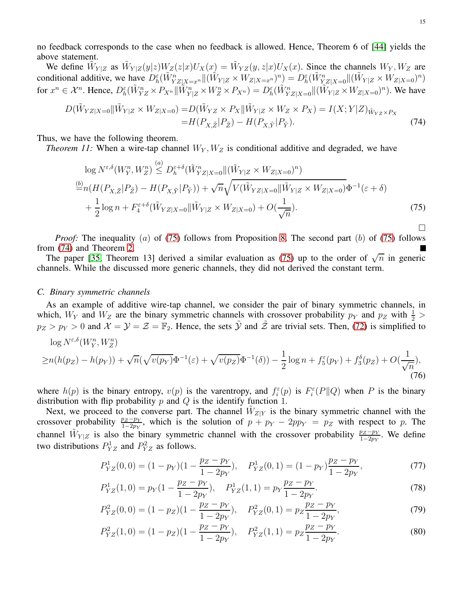no feedback corresponds to the case when no feedback is allowed. Hence, Theorem 6 of [\[44\]](#page-27-34) yields the above statement.

We define  $\tilde{W}_{Y|Z}$  as  $\tilde{W}_{Y|Z}(y|z)W_Z(z|x)U_X(x) = \tilde{W}_{YZ}(y,z|x)U_X(x)$ . Since the channels  $W_Y, W_Z$  are conditional additive, we have  $D_h^{\varepsilon}(\tilde{W}_{YZ|X=x^n}^n \| (\tilde{W}_{Y|Z} \times W_{Z|X=x^n})^n) = D_h^{\varepsilon}(\tilde{W}_{YZ|X=0}^n \| (\tilde{W}_{Y|Z} \times W_{Z|X=0})^n)$ for  $x^n \in \mathcal{X}^n$ . Hence,  $D_h^{\varepsilon}(\tilde{W}_{YZ}^n \times P_{X^n} || \tilde{W}_{Y|Z}^n \times W_Z^n \times P_{X^n}) = D_h^{\varepsilon}(\tilde{W}_{YZ|X=0}^n || (\tilde{W}_{Y|Z} \times W_{Z|X=0})^n)$ . We have

$$
D(\tilde{W}_{YZ|X=0}||\tilde{W}_{Y|Z} \times W_{Z|X=0}) = D(\tilde{W}_{YZ} \times P_X || \tilde{W}_{Y|Z} \times W_Z \times P_X) = I(X;Y|Z)_{\tilde{W}_{YZ} \times P_X} = H(P_{X,\tilde{Z}}|P_{\tilde{Z}}) - H(P_{X,\tilde{Y}}|P_{\tilde{Y}}).
$$
\n(74)

<span id="page-14-3"></span>Thus, we have the following theorem.

*Theorem 11:* When a wire-tap channel  $W_Y, W_Z$  is conditional additive and degraded, we have

$$
\log N^{\varepsilon,\delta}(W_{Y}^{n},W_{Z}^{n}) \leq D_{h}^{\varepsilon+\delta}(\tilde{W}_{YZ|X=0}^{n}||(\tilde{W}_{Y|Z} \times W_{Z|X=0})^{n})
$$
  
\n
$$
\stackrel{\text{(b)}}{=} n(H(P_{X,\tilde{Z}}|P_{\tilde{Z}}) - H(P_{X,\tilde{Y}}|P_{\tilde{Y}})) + \sqrt{n}\sqrt{V(\tilde{W}_{YZ|X=0}||\tilde{W}_{Y|Z} \times W_{Z|X=0})}\Phi^{-1}(\varepsilon+\delta)
$$
  
\n
$$
+ \frac{1}{2}\log n + F_{4}^{\varepsilon+\delta}(\tilde{W}_{YZ|X=0}||\tilde{W}_{Y|Z} \times W_{Z|X=0}) + O(\frac{1}{\sqrt{n}}).
$$
\n(75)

*Proof:* The inequality (a) of [\(75\)](#page-14-0) follows from Proposition [8.](#page-13-3) The second part (b) of (75) follows from [\(74\)](#page-14-1) and Theorem [2.](#page-8-2)

The paper [\[35,](#page-27-25) Theorem 13] derived a similar evaluation as [\(75\)](#page-14-0) up to the order of  $\sqrt{n}$  in generic channels. While the discussed more generic channels, they did not derived the constant term.

# *C. Binary symmetric channels*

As an example of additive wire-tap channel, we consider the pair of binary symmetric channels, in which,  $W_Y$  and  $W_Z$  are the binary symmetric channels with crossover probability  $p_Y$  and  $p_Z$  with  $\frac{1}{2}$  $p_Z > p_Y > 0$  and  $\mathcal{X} = \mathcal{Y} = \mathcal{Z} = \mathbb{F}_2$ . Hence, the sets  $\tilde{\mathcal{Y}}$  and  $\tilde{\mathcal{Z}}$  are trivial sets. Then, [\(72\)](#page-13-2) is simplified to

$$
\log N^{\varepsilon,\delta}(W_1^n, W_2^n) \ge n(h(p_Z) - h(p_Y)) + \sqrt{n}(\sqrt{v(p_Y)}\Phi^{-1}(\varepsilon) + \sqrt{v(p_Z)}\Phi^{-1}(\delta)) - \frac{1}{2}\log n + f_5^{\varepsilon}(p_Y) + f_3^{\delta}(p_Z) + O(\frac{1}{\sqrt{n}}),
$$
\n(76)

where  $h(p)$  is the binary entropy,  $v(p)$  is the varentropy, and  $f_i^{\varepsilon}(p)$  is  $F_i^{\varepsilon}(P||Q)$  when P is the binary distribution with flip probability  $p$  and  $Q$  is the identify function 1.

Next, we proceed to the converse part. The channel  $\tilde{W}_{Z|Y}$  is the binary symmetric channel with the crossover probability  $\frac{pz - py}{1-2py}$ , which is the solution of  $p + py - 2ppY = pz$  with respect to p. The channel  $\tilde{W}_{Y|Z}$  is also the binary symmetric channel with the crossover probability  $\frac{pz - py}{1-2py}$ . We define two distributions  $P_{YZ}^1$  and  $P_{YZ}^2$  as follows.

$$
P_{YZ}^1(0,0) = (1 - p_Y)(1 - \frac{p_Z - p_Y}{1 - 2p_Y}), \quad P_{YZ}^1(0,1) = (1 - p_Y)\frac{p_Z - p_Y}{1 - 2p_Y},\tag{77}
$$

$$
P_{YZ}^1(1,0) = p_Y(1 - \frac{p_Z - p_Y}{1 - 2p_Y}), \quad P_{YZ}^1(1,1) = p_Y \frac{p_Z - p_Y}{1 - 2p_Y}.
$$
\n(78)

$$
P_{YZ}^2(0,0) = (1 - p_Z)(1 - \frac{p_Z - p_Y}{1 - 2p_Y}), \quad P_{YZ}^2(0,1) = p_Z \frac{p_Z - p_Y}{1 - 2p_Y},\tag{79}
$$

$$
P_{YZ}^2(1,0) = (1 - p_Z)(1 - \frac{p_Z - p_Y}{1 - 2p_Y}), \quad P_{YZ}^2(1,1) = p_Z \frac{p_Z - p_Y}{1 - 2p_Y}.
$$
\n(80)

<span id="page-14-2"></span><span id="page-14-1"></span><span id="page-14-0"></span> $\Box$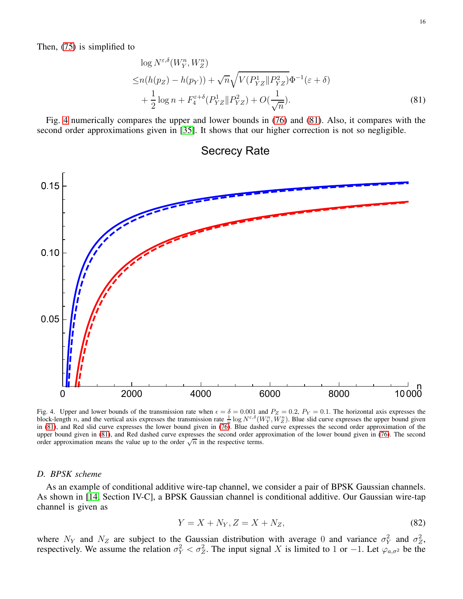Then, [\(75\)](#page-14-0) is simplified to

$$
\log N^{\varepsilon,\delta}(W_Y^n, W_Z^n)
$$
  
\n
$$
\leq n(h(p_Z) - h(p_Y)) + \sqrt{n} \sqrt{V(P_{YZ}^1 \| P_{YZ}^2)} \Phi^{-1}(\varepsilon + \delta)
$$
  
\n
$$
+ \frac{1}{2} \log n + F_4^{\varepsilon+\delta}(P_{YZ}^1 \| P_{YZ}^2) + O(\frac{1}{\sqrt{n}}).
$$
\n(81)

Fig. [4](#page-15-0) numerically compares the upper and lower bounds in [\(76\)](#page-14-2) and [\(81\)](#page-15-1). Also, it compares with the second order approximations given in [\[35\]](#page-27-25). It shows that our higher correction is not so negligible.



<span id="page-15-1"></span>Secrecy Rate

<span id="page-15-0"></span>Fig. 4. Upper and lower bounds of the transmission rate when  $\epsilon = \delta = 0.001$  and  $P_Z = 0.2$ ,  $P_Y = 0.1$ . The horizontal axis expresses the block-length n, and the vertical axis expresses the transmission rate  $\frac{1}{n} \log N^{\varepsilon,\delta}(W_Y^n, W_Z^n)$ . Blue slid curve expresses the upper bound given in [\(81\)](#page-15-1), and Red slid curve expresses the lower bound given in [\(76\)](#page-14-2). Blue dashed curve expresses the second order approximation of the upper bound given in [\(81\)](#page-15-1), and Red dashed curve expresses the second order approximation of the lower bound given in [\(76\)](#page-14-2). The second order approximation means the value up to the order  $\sqrt{n}$  in the respective terms.

## *D. BPSK scheme*

As an example of conditional additive wire-tap channel, we consider a pair of BPSK Gaussian channels. As shown in [\[14,](#page-27-4) Section IV-C], a BPSK Gaussian channel is conditional additive. Our Gaussian wire-tap channel is given as

$$
Y = X + N_Y, Z = X + N_Z,\tag{82}
$$

where  $N_Y$  and  $N_Z$  are subject to the Gaussian distribution with average 0 and variance  $\sigma_Y^2$  and  $\sigma_Z^2$ , respectively. We assume the relation  $\sigma_Y^2 < \sigma_Z^2$ . The input signal X is limited to 1 or -1. Let  $\varphi_{a,\sigma^2}$  be the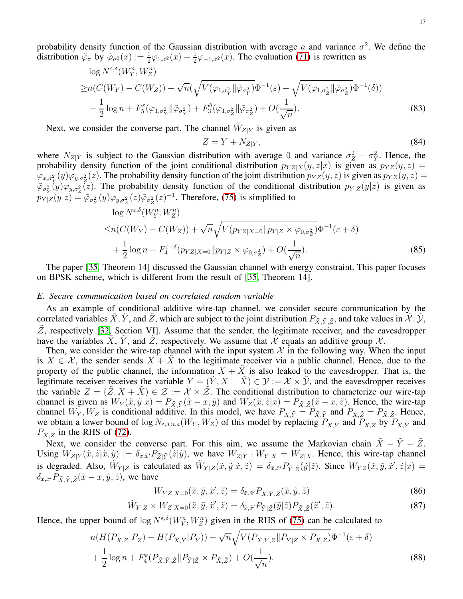probability density function of the Gaussian distribution with average a and variance  $\sigma^2$ . We define the distribution  $\tilde{\varphi}_{\sigma}$  by  $\tilde{\varphi}_{\sigma^2}(x) := \frac{1}{2}\varphi_{1,\sigma^2}(x) + \frac{1}{2}\varphi_{-1,\sigma^2}(x)$ . The evaluation [\(71\)](#page-13-1) is rewritten as

$$
\log N^{\varepsilon,\delta}(W_Y^n, W_Z^n)
$$
  
\n
$$
\geq n(C(W_Y) - C(W_Z)) + \sqrt{n}(\sqrt{V(\varphi_{1,\sigma_Y^2} || \tilde{\varphi}_{\sigma_Y^2})} \Phi^{-1}(\varepsilon) + \sqrt{V(\varphi_{1,\sigma_Z^2} || \tilde{\varphi}_{\sigma_Z^2})} \Phi^{-1}(\delta))
$$
  
\n
$$
-\frac{1}{2} \log n + F_5^{\varepsilon}(\varphi_{1,\sigma_Y^2} || \tilde{\varphi}_{\sigma_Y^2}) + F_3^{\delta}(\varphi_{1,\sigma_Z^2} || \tilde{\varphi}_{\sigma_Z^2}) + O(\frac{1}{\sqrt{n}}).
$$
\n(83)

Next, we consider the converse part. The channel  $\tilde{W}_{Z|Y}$  is given as

$$
Z = Y + N_{Z|Y},\tag{84}
$$

where  $N_{Z|Y}$  is subject to the Gaussian distribution with average 0 and variance  $\sigma_Z^2 - \sigma_Y^2$ . Hence, the probability density function of the joint conditional distribution  $p_{YZ|X}(y, z|x)$  is given as  $p_{YZ}(y, z)$  =  $\varphi_{x,\sigma_Y^2}(y)\varphi_{y,\sigma_Z^2}(z)$ . The probability density function of the joint distribution  $p_{YZ}(y,z)$  is given as  $p_{YZ}(y,z) =$  $(\tilde{\varphi}_{\sigma_Y^2}(y)\varphi_{y,\sigma_Z^2}(z))$ . The probability density function of the conditional distribution  $p_{Y|Z}(y|z)$  is given as  $p_{Y|Z}(y|z) = \tilde{\varphi}_{\sigma_Y^2}(y)\varphi_{y,\sigma_Z^2}(z)\tilde{\varphi}_{\sigma_Z^2}(z)^{-1}$ . Therefore, [\(75\)](#page-14-0) is simplified to

$$
\log N^{\varepsilon,\delta}(W_Y^n, W_Z^n) \le n(C(W_Y) - C(W_Z)) + \sqrt{n} \sqrt{V(p_{YZ|X=0}||p_{Y|Z} \times \varphi_{0,\sigma_Z^2})} \Phi^{-1}(\varepsilon + \delta) + \frac{1}{2} \log n + F_4^{\varepsilon+\delta}(p_{YZ|X=0}||p_{Y|Z} \times \varphi_{0,\sigma_Z^2}) + O(\frac{1}{\sqrt{n}}).
$$
\n(85)

The paper [\[35,](#page-27-25) Theorem 14] discussed the Gaussian channel with energy constraint. This paper focuses on BPSK scheme, which is different from the result of [\[35,](#page-27-25) Theorem 14].

## *E. Secure communication based on correlated random variable*

As an example of conditional additive wire-tap channel, we consider secure communication by the correlated variables  $\tilde{X}, \tilde{Y}$ , and  $\tilde{Z}$ , which are subject to the joint distribution  $P_{\tilde{X}, \tilde{Y}, \tilde{Z}}$ , and take values in  $\mathcal{X}, \mathcal{Y}$ ,  $\tilde{Z}$ , respectively [\[32,](#page-27-22) Section VI]. Assume that the sender, the legitimate receiver, and the eavesdropper have the variables X, Y, and Z, respectively. We assume that X equals an additive group X.

Then, we consider the wire-tap channel with the input system  $X$  in the following way. When the input is  $X \in \mathcal{X}$ , the sender sends  $X + \tilde{X}$  to the legitimate receiver via a public channel. Hence, due to the property of the public channel, the information  $X + \tilde{X}$  is also leaked to the eavesdropper. That is, the legitimate receiver receives the variable  $Y = (\tilde{Y}, X + \tilde{X}) \in \mathcal{Y} := \mathcal{X} \times \tilde{\mathcal{Y}}$ , and the eavesdropper receives the variable  $Z = (\tilde{Z}, X + \tilde{X}) \in \mathcal{Z} := \mathcal{X} \times \tilde{\mathcal{Z}}$ . The conditional distribution to characterize our wire-tap channel is given as  $W_Y(\tilde{x}, \tilde{y}|x) = P_{\tilde{X}, \tilde{Y}}(\tilde{x} - x, \tilde{y})$  and  $W_Z(\tilde{x}, \tilde{z}|x) = P_{\tilde{X}, \tilde{Z}}(\tilde{x} - x, \tilde{z})$ . Hence, the wire-tap channel  $W_Y, W_Z$  is conditional additive. In this model, we have  $P_{X,\tilde{Y}} = P_{\tilde{X},\tilde{Y}}$  and  $P_{X,\tilde{Z}} = P_{\tilde{X},\tilde{Z}}$ . Hence, we obtain a lower bound of  $\log N_{\epsilon,\delta,n,a}(W_Y, W_Z)$  of this model by replacing  $P_{X,\tilde{Y}}$  and  $P_{X,\tilde{Z}}$  by  $P_{\tilde{X},\tilde{Y}}$  and  $P_{\tilde{X}, \tilde{Z}}$  in the RHS of [\(72\)](#page-13-2).

Next, we consider the converse part. For this aim, we assume the Markovian chain  $\tilde{X} - \tilde{Y} - \tilde{Z}$ . Using  $W_{Z|Y}(\tilde{x}, \tilde{z}|\tilde{x}, \tilde{y}) := \delta_{\tilde{x}, \tilde{x}'} P_{\tilde{Z}|\tilde{Y}}(\tilde{z}|\tilde{y})$ , we have  $W_{Z|Y} \cdot W_{Y|X} = W_{Z|X}$ . Hence, this wire-tap channel is degraded. Also,  $\tilde{W}_{Y|Z}$  is calculated as  $\tilde{W}_{Y|Z}(\tilde{x}, \tilde{y}|\tilde{x}, \tilde{z}) = \delta_{\tilde{x}, \tilde{x}'} P_{\tilde{Y}|\tilde{Z}}(\tilde{y}|\tilde{z})$ . Since  $W_{YZ}(\tilde{x}, \tilde{y}, \tilde{x}', \tilde{z}|x) =$  $\delta_{\tilde{x}, \tilde{x}'} P_{\tilde{X}, \tilde{Y}, \tilde{Z}}(\tilde{x} - x, \tilde{y}, \tilde{z})$ , we have

$$
W_{YZ|X=0}(\tilde{x}, \tilde{y}, \tilde{x}', \tilde{z}) = \delta_{\tilde{x}, \tilde{x}'} P_{\tilde{X}, \tilde{Y}, \tilde{Z}}(\tilde{x}, \tilde{y}, \tilde{z})
$$
(86)

$$
\tilde{W}_{Y|Z} \times W_{Z|X=0}(\tilde{x}, \tilde{y}, \tilde{x}', \tilde{z}) = \delta_{\tilde{x}, \tilde{x}'} P_{\tilde{Y}|\tilde{Z}}(\tilde{y}|\tilde{z}) P_{\tilde{X}, \tilde{Z}}(\tilde{x}', \tilde{z}). \tag{87}
$$

Hence, the upper bound of  $\log N^{\epsilon,\delta}(W_Y^n, W_Z^n)$  given in the RHS of [\(75\)](#page-14-0) can be calculated to

$$
n(H(P_{\tilde{X},\tilde{Z}}|P_{\tilde{Z}}) - H(P_{\tilde{X},\tilde{Y}}|P_{\tilde{Y}})) + \sqrt{n}\sqrt{V(P_{\tilde{X},\tilde{Y},\tilde{Z}}\|P_{\tilde{Y}|\tilde{Z}} \times P_{\tilde{X},\tilde{Z}})}\Phi^{-1}(\varepsilon + \delta)
$$
  
+ 
$$
\frac{1}{2}\log n + F_4^{\varepsilon}(P_{\tilde{X},\tilde{Y},\tilde{Z}}\|P_{\tilde{Y}|\tilde{Z}} \times P_{\tilde{X},\tilde{Z}}) + O(\frac{1}{\sqrt{n}}).
$$
 (88)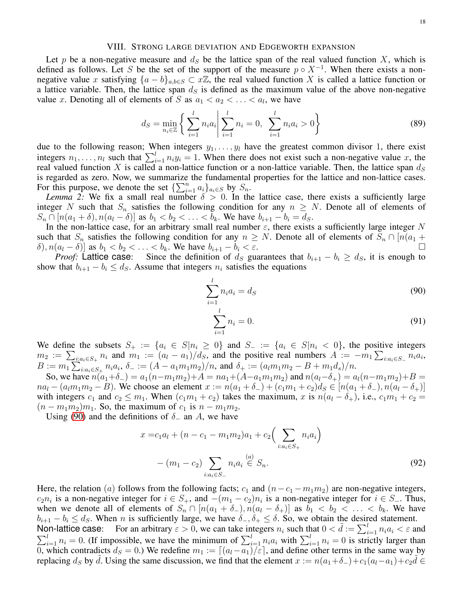#### VIII. STRONG LARGE DEVIATION AND EDGEWORTH EXPANSION

<span id="page-17-0"></span>Let p be a non-negative measure and  $d<sub>S</sub>$  be the lattice span of the real valued function X, which is defined as follows. Let S be the set of the support of the measure  $p \circ X^{-1}$ . When there exists a nonnegative value x satisfying  ${a - b}_{a,b \in S} \subset x\mathbb{Z}$ , the real valued function X is called a lattice function or a lattice variable. Then, the lattice span  $d<sub>S</sub>$  is defined as the maximum value of the above non-negative value x. Denoting all of elements of S as  $a_1 < a_2 < \ldots < a_l$ , we have

$$
d_S = \min_{n_i \in \mathbb{Z}} \left\{ \left. \sum_{i=1}^l n_i a_i \right| \sum_{i=1}^l n_i = 0, \sum_{i=1}^l n_i a_i > 0 \right\} \tag{89}
$$

due to the following reason; When integers  $y_1, \ldots, y_l$  have the greatest common divisor 1, there exist integers  $n_1, \ldots, n_l$  such that  $\sum_{i=1}^l n_i y_i = 1$ . When there does not exist such a non-negative value x, the real valued function X is called a non-lattice function or a non-lattice variable. Then, the lattice span  $d_S$ is regarded as zero. Now, we summarize the fundamental properties for the lattice and non-lattice cases. For this purpose, we denote the set  $\{\sum_{i=1}^n a_i\}_{a_i \in S}$  by  $S_n$ .

*Lemma 2:* We fix a small real number  $\delta > 0$ . In the lattice case, there exists a sufficiently large integer N such that  $S_n$  satisfies the following condition for any  $n \geq N$ . Denote all of elements of  $S_n \cap [n(a_1 + \delta), n(a_1 - \delta)]$  as  $b_1 < b_2 < \ldots < b_k$ . We have  $b_{i+1} - b_i = d_S$ .

In the non-lattice case, for an arbitrary small real number  $\varepsilon$ , there exists a sufficiently large integer N such that  $S_n$  satisfies the following condition for any  $n \geq N$ . Denote all of elements of  $S_n \cap [n(a_1 + \delta) n(a_2 - \delta)]$  as  $b_1 < b_2 < \cdots < b_n$ . We have  $b_{i+1} - b_i < \varepsilon$  $\delta$ ),  $n(a_l - \delta)$ ] as  $b_1 < b_2 < \ldots < b_k$ . We have  $b_{i+1} - b_i < \varepsilon$ .

*Proof:* Lattice case: Since the definition of  $d_S$  guarantees that  $b_{i+1} - b_i \geq d_S$ , it is enough to show that  $b_{i+1} - b_i \leq d_s$ . Assume that integers  $n_i$  satisfies the equations

$$
\sum_{i=1}^{l} n_i a_i = d_S \tag{90}
$$

<span id="page-17-1"></span>
$$
\sum_{i=1}^{l} n_i = 0.
$$
\n(91)

We define the subsets  $S_+ := \{a_i \in S | n_i \geq 0\}$  and  $S_- := \{a_i \in S | n_i < 0\}$ , the positive integers  $m_2 := \sum_{i:a_i \in S_+} n_i$  and  $m_1 := (a_i - a_1)/d_S$ , and the positive real numbers  $A := -m_1 \sum_{i:a_i \in S_-} n_i a_i$ ,  $B := m_1 \sum_{i:a_i \in S_+} n_i a_i, \ \delta_- := (A - a_1 m_1 m_2)/n, \text{ and } \delta_+ := (a_l m_1 m_2 - B + m_1 d_s)/n.$ 

So, we have  $n(a_1+\delta_-) = a_1(n-m_1m_2)+A = na_1+(A-a_1m_1m_2)$  and  $n(a_l-\delta_+) = a_l(n-m_1m_2)+B =$  $na_l - (a_l m_1 m_2 - B)$ . We choose an element  $x := n(a_1 + \delta_-) + (c_1 m_1 + c_2)d_s \in [n(a_1 + \delta_-), n(a_l - \delta_+)]$ with integers  $c_1$  and  $c_2 \leq m_1$ . When  $(c_1m_1 + c_2)$  takes the maximum, x is  $n(a_1 - \delta_+)$ , i.e.,  $c_1m_1 + c_2 =$  $(n - m_1m_2)m_1$ . So, the maximum of  $c_1$  is  $n - m_1m_2$ .

Using [\(90\)](#page-17-1) and the definitions of  $\delta_-\$  an A, we have

$$
x = c_1 a_l + (n - c_1 - m_1 m_2) a_1 + c_2 \left( \sum_{i:a_i \in S_+} n_i a_i \right)
$$

$$
- (m_1 - c_2) \sum_{i:a_i \in S_-} n_i a_i \stackrel{(a)}{\in} S_n.
$$
(92)

Here, the relation (a) follows from the following facts;  $c_1$  and  $(n-c_1 - m_1m_2)$  are non-negative integers,  $c_2n_i$  is a non-negative integer for  $i \in S_+$ , and  $-(m_1 - c_2)n_i$  is a non-negative integer for  $i \in S_-$ . Thus, when we denote all of elements of  $S_n \cap [n(a_1 + \delta_-), n(a_1 - \delta_+)]$  as  $b_1 < b_2 < \ldots < b_k$ . We have  $b_{i+1} - b_i \leq d_S$ . When n is sufficiently large, we have  $\delta_-, \delta_+ \leq \delta$ . So, we obtain the desired statement. Non-lattice case: For an arbitrary  $\varepsilon > 0$ , we can take integers  $n_i$  such that  $0 < \tilde{d} := \sum_{i=1}^l n_i a_i < \varepsilon$  and

 $\sum_{i=1}^{l} n_i = 0$ . (If impossible, we have the minimum of  $\sum_{i=1}^{l} n_i a_i$  with  $\sum_{i=1}^{l} n_i = 0$  is strictly larger than 0, which contradicts  $d_S = 0$ .) We redefine  $m_1 := [(a_l - a_1)/\varepsilon]$ , and define other terms in the same way by replacing ds by  $\tilde{d}$ . Using the same discussion, we find that the element  $x := n(a_1 + \delta_-) + c_1(a_1 - a_1) + c_2\tilde{d} \in$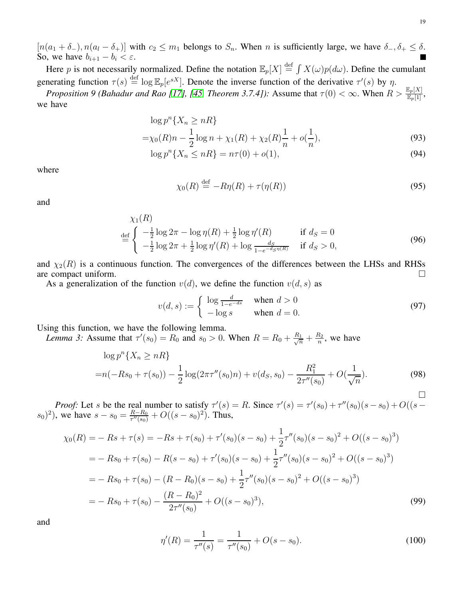$[n(a_1 + \delta_-), n(a_1 - \delta_+)]$  with  $c_2 \leq m_1$  belongs to  $S_n$ . When n is sufficiently large, we have  $\delta_-$ ,  $\delta_+ \leq \delta$ . So, we have  $b_{i+1} - b_i < \varepsilon$ .

Here p is not necessarily normalized. Define the notation  $\mathbb{E}_p[X] \stackrel{\text{def}}{=} \int X(\omega)p(d\omega)$ . Define the cumulant generating function  $\tau(s) \stackrel{\text{def}}{=} \log \mathbb{E}_p[e^{sX}]$ . Denote the inverse function of the derivative  $\tau'(s)$  by  $\eta$ .

<span id="page-18-0"></span>*Proposition 9 (Bahadur and Rao [\[17\]](#page-27-7), [\[45,](#page-27-35) Theorem 3.7.4]):* Assume that  $\tau(0) < \infty$ . When  $R > \frac{\mathbb{E}_p[X]}{\mathbb{E}_p[1]}$ , we have

$$
\log p^{n} \{ X_n \ge nR \}
$$
  
=  $\chi_0(R)n - \frac{1}{2} \log n + \chi_1(R) + \chi_2(R)\frac{1}{n} + o(\frac{1}{n}),$  (93)

$$
\log p^{n}\{X_{n} \leq nR\} = n\tau(0) + o(1),\tag{94}
$$

where

$$
\chi_0(R) \stackrel{\text{def}}{=} -R\eta(R) + \tau(\eta(R))\tag{95}
$$

and

$$
\chi_1(R) = \begin{cases}\n\frac{1}{2} \log 2\pi - \log \eta(R) + \frac{1}{2} \log \eta'(R) & \text{if } d_S = 0 \\
-\frac{1}{2} \log 2\pi + \frac{1}{2} \log \eta'(R) + \log \frac{d_S}{1 - e^{-d_S \eta(R)}} & \text{if } d_S > 0,\n\end{cases}
$$
\n(96)

and  $\chi_2(R)$  is a continuous function. The convergences of the differences between the LHSs and RHSs are compact uniform.  $\square$ 

As a generalization of the function  $v(d)$ , we define the function  $v(d, s)$  as

<span id="page-18-2"></span>
$$
v(d,s) := \begin{cases} \log \frac{d}{1-e^{-ds}} & \text{when } d > 0\\ -\log s & \text{when } d = 0. \end{cases}
$$
 (97)

<span id="page-18-3"></span>Using this function, we have the following lemma.

*Lemma 3:* Assume that  $\tau'(s_0) = R_0$  and  $s_0 > 0$ . When  $R = R_0 + \frac{R_1}{\sqrt{n}} + \frac{R_2}{n}$  $\frac{\kappa_2}{n}$ , we have

$$
\log p^{n}\lbrace X_{n} \geq nR\rbrace
$$
  
= $n(-Rs_{0} + \tau(s_{0})) - \frac{1}{2}\log(2\pi\tau''(s_{0})n) + v(d_{S}, s_{0}) - \frac{R_{1}^{2}}{2\tau''(s_{0})} + O(\frac{1}{\sqrt{n}}).$  (98)

*Proof:* Let s be the real number to satisfy  $\tau'(s) = R$ . Since  $\tau'(s) = \tau'(s_0) + \tau''(s_0)(s - s_0) + O((s - s_0))$  $(s_0)^2$ ), we have  $s - s_0 = \frac{R - R_0}{\tau''(s_0)} + O((s - s_0)^2)$ . Thus,

$$
\chi_0(R) = -Rs + \tau(s) = -Rs + \tau(s_0) + \tau'(s_0)(s - s_0) + \frac{1}{2}\tau''(s_0)(s - s_0)^2 + O((s - s_0)^3)
$$
  
= -Rs<sub>0</sub> + \tau(s<sub>0</sub>) - R(s - s<sub>0</sub>) + \tau'(s<sub>0</sub>)(s - s<sub>0</sub>) + \frac{1}{2}\tau''(s<sub>0</sub>)(s - s<sub>0</sub>)<sup>2</sup> + O((s - s<sub>0</sub>)<sup>3</sup>)  
= -Rs<sub>0</sub> + \tau(s<sub>0</sub>) - (R - R<sub>0</sub>)(s - s<sub>0</sub>) + \frac{1}{2}\tau''(s<sub>0</sub>)(s - s<sub>0</sub>)<sup>2</sup> + O((s - s<sub>0</sub>)<sup>3</sup>)  
= -Rs<sub>0</sub> + \tau(s<sub>0</sub>) - \frac{(R - R<sub>0</sub>)<sup>2</sup>}{2\tau''(s<sub>0</sub>)} + O((s - s<sub>0</sub>)<sup>3</sup>), (99)

and

<span id="page-18-1"></span>
$$
\eta'(R) = \frac{1}{\tau''(s)} = \frac{1}{\tau''(s_0)} + O(s - s_0).
$$
\n(100)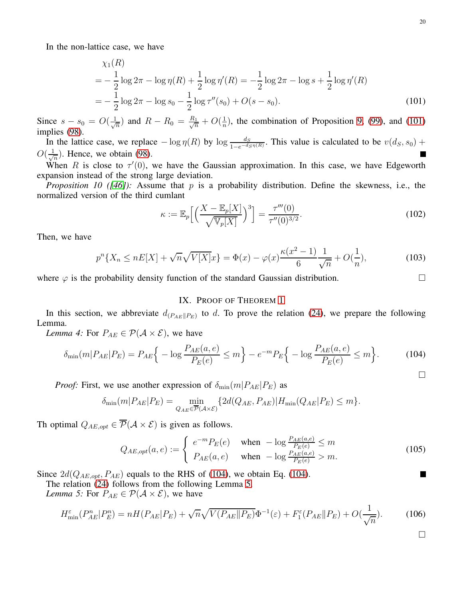In the non-lattice case, we have

$$
\chi_1(R) = -\frac{1}{2}\log 2\pi - \log \eta(R) + \frac{1}{2}\log \eta'(R) = -\frac{1}{2}\log 2\pi - \log s + \frac{1}{2}\log \eta'(R)
$$
  
=  $-\frac{1}{2}\log 2\pi - \log s_0 - \frac{1}{2}\log \tau''(s_0) + O(s - s_0).$  (101)

Since  $s - s_0 = O(\frac{1}{\sqrt{s}})$  $\frac{1}{n}$ ) and  $R - R_0 = \frac{R_1}{\sqrt{n}} + O(\frac{1}{n})$  $\frac{1}{n}$ , the combination of Proposition [9,](#page-18-0) [\(99\)](#page-18-1), and [\(101\)](#page-19-1) implies [\(98\)](#page-18-2).

In the lattice case, we replace  $-\log \eta(R)$  by  $\log \frac{ds}{1-e^{-d_S \eta(R)}}$ . This value is calculated to be  $v(d_S, s_0) +$  $O(\frac{1}{\sqrt{2}})$  $\frac{1}{n}$ ). Hence, we obtain [\(98\)](#page-18-2).

When R is close to  $\tau'(0)$ , we have the Gaussian approximation. In this case, we have Edgeworth expansion instead of the strong large deviation.

<span id="page-19-4"></span>*Proposition 10 ([\[46\]](#page-27-36)):* Assume that p is a probability distribution. Define the skewness, i.e., the normalized version of the third cumlant

<span id="page-19-1"></span>
$$
\kappa := \mathbb{E}_p \Big[ \Big( \frac{X - \mathbb{E}_p[X]}{\sqrt{\mathbb{V}_p[X]}} \Big)^3 \Big] = \frac{\tau'''(0)}{\tau''(0)^{3/2}}.
$$
\n(102)

Then, we have

$$
p^{n}\lbrace X_{n} \leq nE[X] + \sqrt{n}\sqrt{V[X]}x\rbrace = \Phi(x) - \varphi(x)\frac{\kappa(x^{2} - 1)}{6}\frac{1}{\sqrt{n}} + O(\frac{1}{n}),\tag{103}
$$

<span id="page-19-0"></span>where  $\varphi$  is the probability density function of the standard Gaussian distribution.

# IX. PROOF OF THEOREM [1](#page-5-1)

In this section, we abbreviate  $d_{(P_{AE}||P_E)}$  to d. To prove the relation [\(24\)](#page-5-6), we prepare the following Lemma.

<span id="page-19-5"></span>*Lemma 4:* For  $P_{AE} \in \mathcal{P}(\mathcal{A} \times \mathcal{E})$ , we have

$$
\delta_{\min}(m|P_{AE}|P_E) = P_{AE} \Big\{ -\log \frac{P_{AE}(a,e)}{P_E(e)} \le m \Big\} - e^{-m} P_E \Big\{ -\log \frac{P_{AE}(a,e)}{P_E(e)} \le m \Big\}.
$$
 (104)

*Proof:* First, we use another expression of  $\delta_{\min}(m|P_{AE}|P_E)$  as

$$
\delta_{\min}(m|P_{AE}|P_E) = \min_{Q_{AE} \in \overline{\mathcal{P}}(\mathcal{A} \times \mathcal{E})} \{ 2d(Q_{AE}, P_{AE}) | H_{\min}(Q_{AE}|P_E) \le m \}.
$$

Th optimal  $Q_{AE,opt} \in \overline{\mathcal{P}}(\mathcal{A} \times \mathcal{E})$  is given as follows.

$$
Q_{AE,opt}(a, e) := \begin{cases} e^{-m} P_E(e) & \text{when } -\log \frac{P_{AE}(a, e)}{P_E(e)} \le m\\ P_{AE}(a, e) & \text{when } -\log \frac{P_{AE}(a, e)}{P_E(e)} > m. \end{cases} \tag{105}
$$

Since  $2d(Q_{AE,opt}, P_{AE})$  equals to the RHS of [\(104\)](#page-19-2), we obtain Eq. (104).

The relation [\(24\)](#page-5-6) follows from the following Lemma [5.](#page-19-3)

*Lemma 5:* For  $P_{AE} \in \mathcal{P}(\mathcal{A} \times \mathcal{E})$ , we have

$$
H_{\min}^{\varepsilon}(P_{AE}^n|P_E^n) = nH(P_{AE}|P_E) + \sqrt{n}\sqrt{V(P_{AE}||P_E)}\Phi^{-1}(\varepsilon) + F_1^{\varepsilon}(P_{AE}||P_E) + O(\frac{1}{\sqrt{n}}). \tag{106}
$$

 $\Box$ 

 $\blacksquare$ 

<span id="page-19-3"></span>1

<span id="page-19-2"></span> $\Box$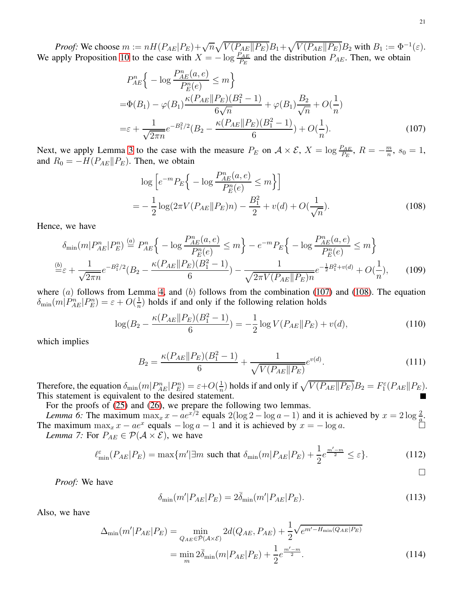*Proof:* We choose  $m := nH(P_{AE}|P_E) + \sqrt{n}\sqrt{V(P_{AE}||P_E)}B_1 + \sqrt{V(P_{AE}||P_E)}B_2$  with  $B_1 := \Phi^{-1}(\varepsilon)$ . We apply Proposition [10](#page-19-4) to the case with  $X = -\log \frac{P_{AE}}{P_E}$  and the distribution  $P_{AE}$ . Then, we obtain

$$
P_{AE}^{n}\left\{-\log\frac{P_{AE}^{n}(a,e)}{P_{E}^{n}(e)} \leq m\right\}
$$
  
= $\Phi(B_1) - \varphi(B_1) \frac{\kappa(P_{AE}||P_E)(B_1^2 - 1)}{6\sqrt{n}} + \varphi(B_1) \frac{B_2}{\sqrt{n}} + O(\frac{1}{n})$   
= $\varepsilon + \frac{1}{\sqrt{2\pi n}} e^{-B_1^2/2} (B_2 - \frac{\kappa(P_{AE}||P_E)(B_1^2 - 1)}{6}) + O(\frac{1}{n}).$  (107)

Next, we apply Lemma [3](#page-18-3) to the case with the measure  $P_E$  on  $\mathcal{A} \times \mathcal{E}$ ,  $X = \log \frac{P_{AE}}{P_E}$ ,  $R = -\frac{m}{n}$  $\frac{m}{n}$ ,  $s_0 = 1$ , and  $R_0 = -H(P_{AE}||P_E)$ . Then, we obtain

<span id="page-20-0"></span>
$$
\log \left[ e^{-m} P_E \Big\{ -\log \frac{P_{AE}^n(a, e)}{P_E^n(e)} \le m \Big\} \right]
$$
  
= 
$$
- \frac{1}{2} \log(2\pi V (P_{AE} || P_E) n) - \frac{B_1^2}{2} + v(d) + O(\frac{1}{\sqrt{n}}).
$$
 (108)

Hence, we have

$$
\delta_{\min}(m|P_{AE}^n|P_E^n) \stackrel{(a)}{=} P_{AE}^n \Big\{ -\log \frac{P_{AE}^n(a,e)}{P_E^n(e)} \le m \Big\} - e^{-m} P_E \Big\{ -\log \frac{P_{AE}^n(a,e)}{P_E^n(e)} \le m \Big\}
$$
  

$$
\frac{\text{(b)}}{\text{m} \epsilon} \varepsilon + \frac{1}{\sqrt{2\pi n}} e^{-B_1^2/2} (B_2 - \frac{\kappa (P_{AE} \| P_E)(B_1^2 - 1)}{6}) - \frac{1}{\sqrt{2\pi V (P_{AE} \| P_E)n}} e^{-\frac{1}{2}B_1^2 + v(d)} + O(\frac{1}{n}), \qquad (109)
$$

where  $(a)$  follows from Lemma [4,](#page-19-5) and  $(b)$  follows from the combination [\(107\)](#page-20-0) and [\(108\)](#page-20-1). The equation  $\delta_{\min}(m|P^n_{AE}|P^n_E) = \varepsilon + O(\frac{1}{n})$  $\frac{1}{n}$ ) holds if and only if the following relation holds

$$
\log(B_2 - \frac{\kappa(P_{AE} \| P_E)(B_1^2 - 1)}{6}) = -\frac{1}{2} \log V(P_{AE} \| P_E) + v(d),\tag{110}
$$

which implies

$$
B_2 = \frac{\kappa (P_{AE} \| P_E)(B_1^2 - 1)}{6} + \frac{1}{\sqrt{V(P_{AE} \| P_E)}} e^{v(d)}.
$$
\n(111)

Therefore, the equation  $\delta_{\min}(m|P_{AE}^n|P_E^n) = \varepsilon + O(\frac{1}{n})$  $\frac{1}{n}$ ) holds if and only if  $\sqrt{V(P_{AE}||P_E)}B_2 = F_1^{\varepsilon}(P_{AE}||P_E)$ . This statement is equivalent to the desired statement.

For the proofs of [\(25\)](#page-5-7) and [\(26\)](#page-5-5), we prepare the following two lemmas.

<span id="page-20-5"></span>*Lemma 6:* The maximum  $\max_x x - ae^{x/2}$  equals  $2(\log 2 - \log a - 1)$  and it is achieved by  $x = 2 \log \frac{2}{a}$ . The maximum  $\max_x x - ae^x$  equals  $-\log a - 1$  and it is achieved by  $x = -\log a$ . *Lemma 7:* For  $P_{AE} \in \mathcal{P}(\mathcal{A} \times \mathcal{E})$ , we have

$$
\ell_{\min}^{\varepsilon}(P_{AE}|P_E) = \max\{m'|\exists m \text{ such that } \delta_{\min}(m|P_{AE}|P_E) + \frac{1}{2}e^{\frac{m'-m}{2}} \le \varepsilon\}.
$$
 (112)

*Proof:* We have

$$
\delta_{\min}(m'|P_{AE}|P_E) = 2\bar{\delta}_{\min}(m'|P_{AE}|P_E). \tag{113}
$$

Also, we have

$$
\Delta_{\min}(m'|P_{AE}|P_E) = \min_{Q_{AE} \in \bar{\mathcal{P}}(\mathcal{A} \times \mathcal{E})} 2d(Q_{AE}, P_{AE}) + \frac{1}{2} \sqrt{e^{m'-H_{\min}(Q_{AE}|P_E)}}
$$

$$
= \min_{m} 2\bar{\delta}_{\min}(m|P_{AE}|P_E) + \frac{1}{2} e^{\frac{m'-m}{2}}.
$$
(114)

<span id="page-20-7"></span><span id="page-20-6"></span><span id="page-20-4"></span><span id="page-20-3"></span><span id="page-20-2"></span><span id="page-20-1"></span> $\Box$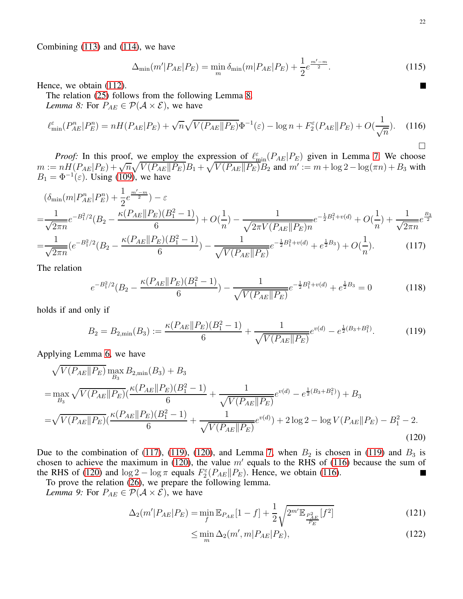Combining [\(113\)](#page-20-2) and [\(114\)](#page-20-3), we have

$$
\Delta_{\min}(m'|P_{AE}|P_E) = \min_{m} \delta_{\min}(m|P_{AE}|P_E) + \frac{1}{2}e^{\frac{m'-m}{2}}.
$$
\n(115)

Hence, we obtain [\(112\)](#page-20-4).

<span id="page-21-0"></span>The relation [\(25\)](#page-5-7) follows from the following Lemma [8.](#page-21-0) *Lemma 8:* For  $P_{AE} \in \mathcal{P}(\mathcal{A} \times \mathcal{E})$ , we have

$$
\ell_{\min}^{\varepsilon}(P_{AE}^n|P_E^n) = nH(P_{AE}|P_E) + \sqrt{n}\sqrt{V(P_{AE}||P_E)}\Phi^{-1}(\varepsilon) - \log n + F_2^{\varepsilon}(P_{AE}||P_E) + O(\frac{1}{\sqrt{n}}). \tag{116}
$$

*Proof:* In this proof, we employ the expression of  $\ell_{\min}^{\varepsilon}(P_{AE}|P_E)$  given in Lemma [7.](#page-20-5) We choose  $m := nH(P_{AE}|P_E) + \sqrt{n} \sqrt{V(P_{AE}||P_E)}B_1 + \sqrt{V(P_{AE}||P_E)}B_2$  and  $m' := m + \log 2 - \log(\pi n) + B_3$  with  $B_1 = \Phi^{-1}(\varepsilon)$ . Using [\(109\)](#page-20-6), we have

$$
\begin{split}\n&\left(\delta_{\min}(m|P_{AE}^n|P_E^n) + \frac{1}{2}e^{\frac{m'-m}{2}}\right) - \varepsilon \\
&= \frac{1}{\sqrt{2\pi n}}e^{-B_1^2/2}(B_2 - \frac{\kappa(P_{AE}||P_E)(B_1^2 - 1)}{6}) + O(\frac{1}{n}) - \frac{1}{\sqrt{2\pi V(P_{AE}||P_E)n}}e^{-\frac{1}{2}B_1^2 + v(d)} + O(\frac{1}{n}) + \frac{1}{\sqrt{2\pi n}}e^{\frac{B_3}{2}} \\
&= \frac{1}{\sqrt{2\pi n}}(e^{-B_1^2/2}(B_2 - \frac{\kappa(P_{AE}||P_E)(B_1^2 - 1)}{6}) - \frac{1}{\sqrt{V(P_{AE}||P_E)}}e^{-\frac{1}{2}B_1^2 + v(d)} + e^{\frac{1}{2}B_3}) + O(\frac{1}{n}).\n\end{split} \tag{117}
$$

The relation

$$
e^{-B_1^2/2}(B_2 - \frac{\kappa (P_{AE} \| P_E)(B_1^2 - 1)}{6}) - \frac{1}{\sqrt{V(P_{AE} \| P_E)}} e^{-\frac{1}{2}B_1^2 + v(d)} + e^{\frac{1}{2}B_3} = 0 \tag{118}
$$

holds if and only if

$$
B_2 = B_{2,\min}(B_3) := \frac{\kappa(P_{AE} \| P_E)(B_1^2 - 1)}{6} + \frac{1}{\sqrt{V(P_{AE} \| P_E)}} e^{v(d)} - e^{\frac{1}{2}(B_3 + B_1^2)}.
$$
(119)

Applying Lemma [6,](#page-20-7) we have

$$
\sqrt{V(P_{AE}||P_E)} \max_{B_3} B_{2,\min}(B_3) + B_3
$$
  
=  $\max_{B_3} \sqrt{V(P_{AE}||P_E)} (\frac{\kappa(P_{AE}||P_E)(B_1^2 - 1)}{6} + \frac{1}{\sqrt{V(P_{AE}||P_E)}} e^{v(d)} - e^{\frac{1}{2}(B_3 + B_1^2)}) + B_3$   
=  $\sqrt{V(P_{AE}||P_E)} (\frac{\kappa(P_{AE}||P_E)(B_1^2 - 1)}{6} + \frac{1}{\sqrt{V(P_{AE}||P_E)}} e^{v(d)}) + 2 \log 2 - \log V(P_{AE}||P_E) - B_1^2 - 2.$  (120)

Due to the combination of [\(117\)](#page-21-1), [\(119\)](#page-21-2), [\(120\)](#page-21-3), and Lemma [7,](#page-20-5) when  $B_2$  is chosen in [\(119\)](#page-21-2) and  $B_3$  is chosen to achieve the maximum in [\(120\)](#page-21-3), the value  $m'$  equals to the RHS of [\(116\)](#page-21-4) because the sum of the RHS of [\(120\)](#page-21-3) and  $\log 2 - \log \pi$  equals  $F_2^{\epsilon}(P_{AE}||P_E)$ . Hence, we obtain [\(116\)](#page-21-4). П To prove the relation [\(26\)](#page-5-5), we prepare the following lemma.

*Lemma 9:* For  $P_{AE} \in \mathcal{P}(\mathcal{A} \times \mathcal{E})$ , we have

$$
\Delta_2(m'|P_{AE}|P_E) = \min_f \mathbb{E}_{P_{AE}}[1-f] + \frac{1}{2} \sqrt{2^{m'} \mathbb{E}_{\frac{P_{AE}^2}{P_E}}[f^2]}
$$
(121)

<span id="page-21-7"></span><span id="page-21-6"></span><span id="page-21-5"></span><span id="page-21-3"></span>
$$
\leq \min_{m} \Delta_2(m', m | P_{AE} | P_E), \tag{122}
$$

<span id="page-21-4"></span><span id="page-21-2"></span><span id="page-21-1"></span>**T**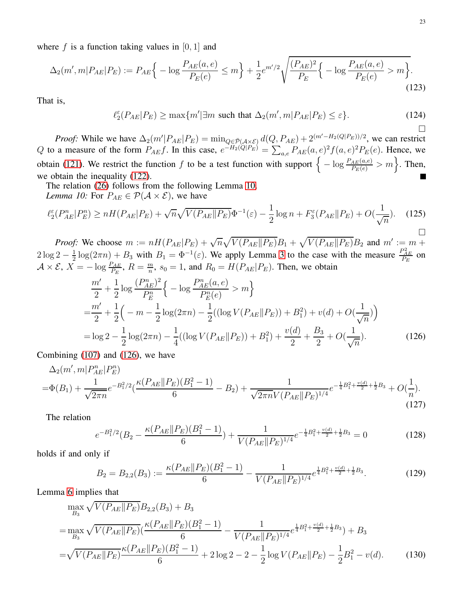where f is a function taking values in  $[0, 1]$  and

$$
\Delta_2(m', m | P_{AE} | P_E) := P_{AE} \Big\{ -\log \frac{P_{AE}(a, e)}{P_E(e)} \le m \Big\} + \frac{1}{2} e^{m'/2} \sqrt{\frac{(P_{AE})^2}{P_E} \Big\{ -\log \frac{P_{AE}(a, e)}{P_E(e)} > m \Big\}}.
$$
\n(123)

That is,

$$
\ell_2^{\varepsilon}(P_{AE}|P_E) \ge \max\{m'|\exists m \text{ such that } \Delta_2(m',m|P_{AE}|P_E) \le \varepsilon\}.
$$
 (124)

*Proof:* While we have  $\Delta_2(m'|P_{AE}|P_E) = \min_{Q \in \overline{P}(A \times \mathcal{E})} d(Q, P_{AE}) + 2^{(m'-H_2(Q|P_E))/2}$ , we can restrict Q to a measure of the form  $P_{AE}f$ . In this case,  $e^{-H_2(Q|P_E)} = \sum_{a,e} P_{AE}(a,e)^2 f(a,e)^2 P_E(e)$ . Hence, we obtain [\(121\)](#page-21-5). We restrict the function f to be a test function with support  $\left\{-\log \frac{P_{AE}(a,e)}{P_E(e)} > m\right\}$ . Then, we obtain the inequality [\(122\)](#page-21-6). П

<span id="page-22-0"></span>The relation [\(26\)](#page-5-5) follows from the following Lemma [10.](#page-22-0) *Lemma 10:* For  $P_{AE} \in \mathcal{P}(\mathcal{A} \times \mathcal{E})$ , we have

$$
\ell_2^{\varepsilon}(P_{AE}^n|P_E^n) \ge nH(P_{AE}|P_E) + \sqrt{n}\sqrt{V(P_{AE}||P_E)}\Phi^{-1}(\varepsilon) - \frac{1}{2}\log n + F_3^{\varepsilon}(P_{AE}||P_E) + O(\frac{1}{\sqrt{n}}). \tag{125}
$$

*Proof:* We choose  $m := nH(P_{AE}|P_E) + \sqrt{n}\sqrt{V(P_{AE}||P_E)}B_1 + \sqrt{V(P_{AE}||P_E)}B_2$  and  $m' := m + \sqrt{V(P_{AE}||P_E)}B_2$  $2\log 2-\frac{1}{2}$  $\frac{1}{2}\log(2\pi n) + B_3$  with  $B_1 = \Phi^{-1}(\varepsilon)$ . We apply Lemma [3](#page-18-3) to the case with the measure  $\frac{P_{AE}}{P_E}$  on  $\mathcal{A} \times \mathcal{E}, X = -\log \frac{P_{AE}}{P_E}, R = \frac{m}{n}$  $\frac{m}{n}$ ,  $s_0 = 1$ , and  $R_0 = H(P_{AE} | P_E)$ . Then, we obtain

$$
\frac{m'}{2} + \frac{1}{2}\log\frac{(P_{AE}^n)^2}{P_E^n}\left\{-\log\frac{P_{AE}^n(a,e)}{P_E^n(e)} > m\right\}
$$
\n
$$
= \frac{m'}{2} + \frac{1}{2}\left(-m - \frac{1}{2}\log(2\pi n) - \frac{1}{2}((\log V(P_{AE}||P_E)) + B_1^2) + v(d) + O(\frac{1}{\sqrt{n}})\right)
$$
\n
$$
= \log 2 - \frac{1}{2}\log(2\pi n) - \frac{1}{4}((\log V(P_{AE}||P_E)) + B_1^2) + \frac{v(d)}{2} + \frac{B_3}{2} + O(\frac{1}{\sqrt{n}}). \tag{126}
$$

Combining [\(107\)](#page-20-0) and [\(126\)](#page-22-1), we have

$$
\Delta_2(m',m|P_{AE}^n|P_E^n) = \Phi(B_1) + \frac{1}{\sqrt{2\pi n}}e^{-B_1^2/2}(\frac{\kappa(P_{AE}||P_E)(B_1^2 - 1)}{6} - B_2) + \frac{1}{\sqrt{2\pi n}V(P_{AE}||P_E)^{1/4}}e^{-\frac{1}{4}B_1^2 + \frac{v(d)}{2} + \frac{1}{2}B_3} + O(\frac{1}{n}).
$$
\n(127)

The relation

$$
e^{-B_1^2/2}(B_2 - \frac{\kappa (P_{AE} \| P_E)(B_1^2 - 1)}{6}) + \frac{1}{V(P_{AE} \| P_E)^{1/4}} e^{-\frac{1}{4}B_1^2 + \frac{v(d)}{2} + \frac{1}{2}B_3} = 0 \tag{128}
$$

holds if and only if

<span id="page-22-5"></span><span id="page-22-3"></span>
$$
B_2 = B_{2,2}(B_3) := \frac{\kappa (P_{AE} || P_E)(B_1^2 - 1)}{6} - \frac{1}{V(P_{AE} || P_E)^{1/4}} e^{\frac{1}{4}B_1^2 + \frac{v(d)}{2} + \frac{1}{2}B_3}.
$$
(129)

Lemma [6](#page-20-7) implies that

$$
\max_{B_3} \sqrt{V(P_{AE}||P_E)} B_{2,2}(B_3) + B_3
$$
\n
$$
= \max_{B_3} \sqrt{V(P_{AE}||P_E)} \left(\frac{\kappa(P_{AE}||P_E)(B_1^2 - 1)}{6} - \frac{1}{V(P_{AE}||P_E)^{1/4}} e^{\frac{1}{4}B_1^2 + \frac{v(d)}{2} + \frac{1}{2}B_3} + B_3\right)
$$
\n
$$
= \sqrt{V(P_{AE}||P_E)} \frac{\kappa(P_{AE}||P_E)(B_1^2 - 1)}{6} + 2\log 2 - 2 - \frac{1}{2}\log V(P_{AE}||P_E) - \frac{1}{2}B_1^2 - v(d). \tag{130}
$$

<span id="page-22-4"></span><span id="page-22-2"></span><span id="page-22-1"></span>П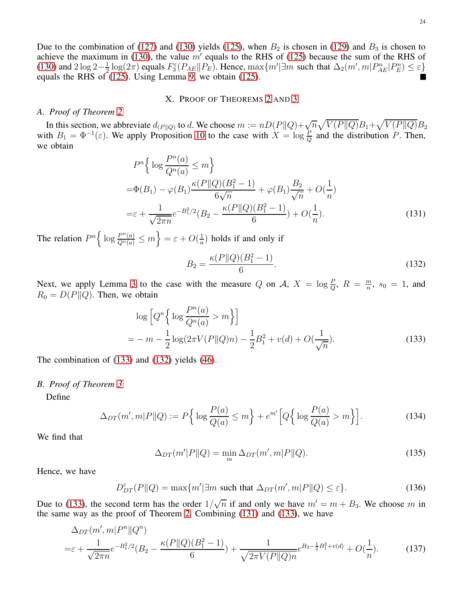<span id="page-23-5"></span>24

Due to the combination of [\(127\)](#page-22-2) and [\(130\)](#page-22-3) yields [\(125\)](#page-22-4), when  $B_2$  is chosen in [\(129\)](#page-22-5) and  $B_3$  is chosen to achieve the maximum in [\(130\)](#page-22-3), the value  $m'$  equals to the RHS of [\(125\)](#page-22-4) because the sum of the RHS of [\(130\)](#page-22-3) and  $2 \log 2 - \frac{1}{2}$  $\frac{1}{2} \log(2\pi)$  equals  $F_3^{\varepsilon}(P_{AE} || P_E)$ . Hence,  $\max\{m' | \exists m \text{ such that } \Delta_2(m', m | P_{AE}^n | P_E^n) \leq \varepsilon\}$ equals the RHS of  $(125)$ . Using Lemma [9,](#page-21-7) we obtain  $(125)$ .

## X. PROOF OF THEOREMS [2](#page-8-2) AND [3](#page-8-3)

# <span id="page-23-1"></span><span id="page-23-0"></span>*A. Proof of Theorem [2](#page-8-2)*

In this section, we abbreviate  $d_{(P||Q)}$  to d. We choose  $m := nD(P||Q) + \sqrt{n}\sqrt{V(P||Q)}B_1 + \sqrt{V(P||Q)}B_2$ with  $B_1 = \Phi^{-1}(\varepsilon)$ . We apply Proposition [10](#page-19-4) to the case with  $X = \log \frac{P}{Q}$  and the distribution P. Then, we obtain

$$
P^{n}\left\{\log\frac{P^{n}(a)}{Q^{n}(a)} \leq m\right\}
$$
  
=  $\Phi(B_{1}) - \varphi(B_{1}) \frac{\kappa(P||Q)(B_{1}^{2} - 1)}{6\sqrt{n}} + \varphi(B_{1}) \frac{B_{2}}{\sqrt{n}} + O(\frac{1}{n})$   
=  $\varepsilon + \frac{1}{\sqrt{2\pi n}} e^{-B_{1}^{2}/2} (B_{2} - \frac{\kappa(P||Q)(B_{1}^{2} - 1)}{6}) + O(\frac{1}{n}).$  (131)

The relation  $P^n \left\{ \log \frac{P^n(a)}{Q^n(a)} \le m \right\} = \varepsilon + O(\frac{1}{n})$  $\frac{1}{n}$ ) holds if and only if

<span id="page-23-4"></span><span id="page-23-3"></span>
$$
B_2 = \frac{\kappa(P||Q)(B_1^2 - 1)}{6}.\tag{132}
$$

Next, we apply Lemma [3](#page-18-3) to the case with the measure Q on A,  $X = \log \frac{P}{Q}$ ,  $R = \frac{m}{n}$  $\frac{m}{n}$ ,  $s_0 = 1$ , and  $R_0 = D(P||Q)$ . Then, we obtain

$$
\log \left[ Q^n \left\{ \log \frac{P^n(a)}{Q^n(a)} > m \right\} \right]
$$
\n
$$
= -m - \frac{1}{2} \log(2\pi V(P||Q)n) - \frac{1}{2}B_1^2 + v(d) + O(\frac{1}{\sqrt{n}}). \tag{133}
$$

The combination of [\(133\)](#page-23-3) and [\(132\)](#page-23-4) yields [\(46\)](#page-8-4).

# <span id="page-23-2"></span>*B. Proof of Theorem [3](#page-8-3)*

Define

$$
\Delta_{DT}(m',m|P||Q) := P\Big\{\log\frac{P(a)}{Q(a)} \le m\Big\} + e^{m'}\Big[Q\Big\{\log\frac{P(a)}{Q(a)} > m\Big\}\Big].\tag{134}
$$

We find that

<span id="page-23-6"></span>
$$
\Delta_{DT}(m'|P\|Q) = \min_{m} \Delta_{DT}(m',m|P\|Q). \tag{135}
$$

Hence, we have

$$
D_{DT}^{\varepsilon}(P||Q) = \max\{m'|\exists m \text{ such that } \Delta_{DT}(m',m|P||Q) \le \varepsilon\}.
$$
 (136)

Due to [\(133\)](#page-23-3), the second term has the order  $1/\sqrt{n}$  if and only we have  $m' = m + B_3$ . We choose m in the same way as the proof of Theorem [2.](#page-8-2) Combining [\(131\)](#page-23-5) and [\(133\)](#page-23-3), we have

$$
\Delta_{DT}(m',m|P^n||Q^n) = \varepsilon + \frac{1}{\sqrt{2\pi n}}e^{-B_1^2/2}(B_2 - \frac{\kappa(P||Q)(B_1^2 - 1)}{6}) + \frac{1}{\sqrt{2\pi V(P||Q)n}}e^{B_3 - \frac{1}{2}B_1^2 + v(d)} + O(\frac{1}{n}).
$$
\n(137)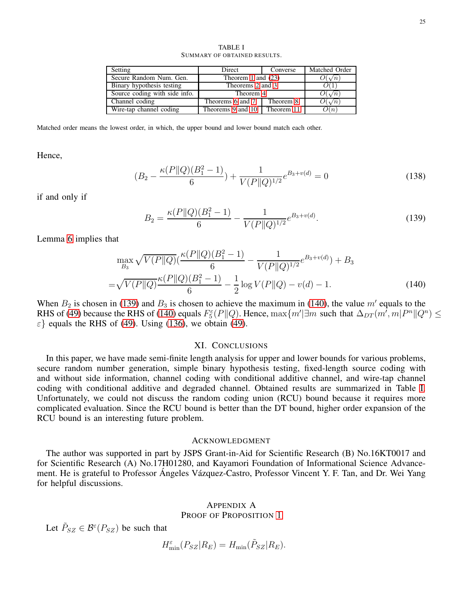<span id="page-24-4"></span>

| Setting                       | Direct                       | Converse  | Matched Order           |
|-------------------------------|------------------------------|-----------|-------------------------|
| Secure Random Num. Gen.       | Theorem 1 and $(23)$         |           | $\mathcal{Y}(\sqrt{n})$ |
| Binary hypothesis testing     | Theorems 2 and 3             |           |                         |
| Source coding with side info. | Theorem 4                    |           | $\mathcal{Y}(\sqrt{n})$ |
| Channel coding                | Theorems 6 and 7             | Theorem 8 | $\mathcal{Y}(\sqrt{n})$ |
| Wire-tap channel coding       | Theorems 9 and 10 Theorem 11 |           | $\lambda(n)$            |

TABLE I SUMMARY OF OBTAINED RESULTS.

Matched order means the lowest order, in which, the upper bound and lower bound match each other.

Hence,

$$
(B_2 - \frac{\kappa(P||Q)(B_1^2 - 1)}{6}) + \frac{1}{V(P||Q)^{1/2}}e^{B_3 + v(d)} = 0
$$
\n(138)

if and only if

$$
B_2 = \frac{\kappa(P||Q)(B_1^2 - 1)}{6} - \frac{1}{V(P||Q)^{1/2}} e^{B_3 + v(d)}.
$$
\n(139)

Lemma [6](#page-20-7) implies that

$$
\max_{B_3} \sqrt{V(P||Q)} \left(\frac{\kappa(P||Q)(B_1^2 - 1)}{6} - \frac{1}{V(P||Q)^{1/2}} e^{B_3 + v(d)}\right) + B_3
$$
  
=  $\sqrt{V(P||Q)} \frac{\kappa(P||Q)(B_1^2 - 1)}{6} - \frac{1}{2} \log V(P||Q) - v(d) - 1.$  (140)

When  $B_2$  is chosen in [\(139\)](#page-24-2) and  $B_3$  is chosen to achieve the maximum in [\(140\)](#page-24-3), the value m' equals to the RHS of [\(49\)](#page-8-5) because the RHS of [\(140\)](#page-24-3) equals  $F_5^{\varepsilon}(P||Q)$ . Hence,  $\max\{m'|\exists m \text{ such that } \Delta_{DT}(m',m|P^n||Q^n) \le$  $\epsilon$ } equals the RHS of [\(49\)](#page-8-5). Using [\(136\)](#page-23-6), we obtain (49).

#### <span id="page-24-3"></span><span id="page-24-2"></span>XI. CONCLUSIONS

<span id="page-24-0"></span>In this paper, we have made semi-finite length analysis for upper and lower bounds for various problems, secure random number generation, simple binary hypothesis testing, fixed-length source coding with and without side information, channel coding with conditional additive channel, and wire-tap channel coding with conditional additive and degraded channel. Obtained results are summarized in Table [I.](#page-24-4) Unfortunately, we could not discuss the random coding union (RCU) bound because it requires more complicated evaluation. Since the RCU bound is better than the DT bound, higher order expansion of the RCU bound is an interesting future problem.

# ACKNOWLEDGMENT

The author was supported in part by JSPS Grant-in-Aid for Scientific Research (B) No.16KT0017 and for Scientific Research (A) No.17H01280, and Kayamori Foundation of Informational Science Advancement. He is grateful to Professor Ángeles Vázquez-Castro, Professor Vincent Y. F. Tan, and Dr. Wei Yang for helpful discussions.

# <span id="page-24-1"></span>APPENDIX A PROOF OF PROPOSITION [1](#page-4-0)

Let  $\tilde{P}_{SZ} \in \mathcal{B}^{\varepsilon}(P_{SZ})$  be such that

$$
H_{\min}^{\varepsilon}(P_{SZ}|R_E) = H_{\min}(\tilde{P}_{SZ}|R_E).
$$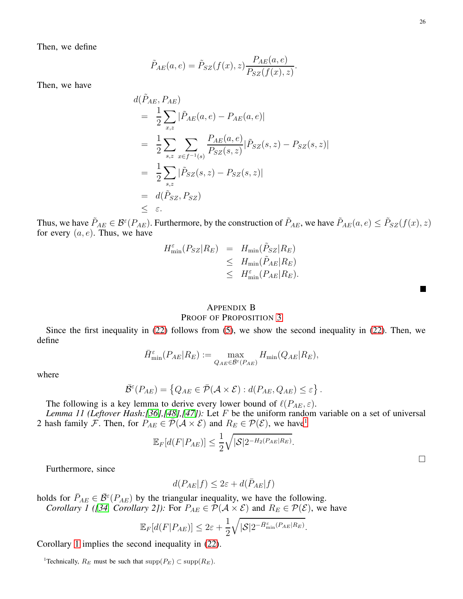Then, we define

$$
\tilde{P}_{AE}(a,e) = \tilde{P}_{SZ}(f(x),z) \frac{P_{AE}(a,e)}{P_{SZ}(f(x),z)}.
$$

Then, we have

$$
d(\tilde{P}_{AE}, P_{AE})
$$
  
=  $\frac{1}{2} \sum_{x,z} |\tilde{P}_{AE}(a, e) - P_{AE}(a, e)|$   
=  $\frac{1}{2} \sum_{s,z} \sum_{x \in f^{-1}(s)} \frac{P_{AE}(a, e)}{P_{SZ}(s, z)} |\tilde{P}_{SZ}(s, z) - P_{SZ}(s, z)|$   
=  $\frac{1}{2} \sum_{s,z} |\tilde{P}_{SZ}(s, z) - P_{SZ}(s, z)|$   
=  $d(\tilde{P}_{SZ}, P_{SZ})$   
 $\leq \varepsilon.$ 

Thus, we have  $\tilde{P}_{AE} \in \mathcal{B}^{\varepsilon}(P_{AE})$ . Furthermore, by the construction of  $\tilde{P}_{AE}$ , we have  $\tilde{P}_{AE}(a, e) \le \tilde{P}_{SZ}(f(x), z)$ for every  $(a, e)$ . Thus, we have

$$
H_{\min}^{\varepsilon}(P_{SZ}|R_E) = H_{\min}(\tilde{P}_{SZ}|R_E)
$$
  
\n
$$
\leq H_{\min}(\tilde{P}_{AE}|R_E)
$$
  
\n
$$
\leq H_{\min}^{\varepsilon}(P_{AE}|R_E).
$$

# <span id="page-25-0"></span>APPENDIX B PROOF OF PROPOSITION [3](#page-5-0)

Since the first inequality in [\(22\)](#page-5-8) follows from [\(5\)](#page-2-1), we show the second inequality in [\(22\)](#page-5-8). Then, we define

$$
\bar{H}_{\min}^{\varepsilon}(P_{AE}|R_E) := \max_{Q_{AE} \in \bar{\mathcal{B}}^{\varepsilon}(P_{AE})} H_{\min}(Q_{AE}|R_E),
$$

where

$$
\bar{\mathcal{B}}^{\varepsilon}(P_{AE}) = \left\{ Q_{AE} \in \bar{\mathcal{P}}(\mathcal{A} \times \mathcal{E}) : d(P_{AE}, Q_{AE}) \leq \varepsilon \right\}.
$$

The following is a key lemma to derive every lower bound of  $\ell(P_{AE}, \varepsilon)$ .

*Lemma 11 (Leftover Hash:[\[36\]](#page-27-27),[\[48\]](#page-28-1),[\[47\]](#page-28-0)):* Let F be the uniform random variable on a set of universal 2 hash family F. Then, for  $P_{AE} \in \overline{\mathcal{P}}(\mathcal{A} \times \mathcal{E})$  and  $R_E \in \mathcal{P}(\mathcal{E})$ , we have

$$
\mathbb{E}_F[d(F|P_{AE})] \leq \frac{1}{2} \sqrt{|\mathcal{S}| 2^{-H_2(P_{AE}|R_E)}}.
$$

Furthermore, since

$$
d(P_{AE}|f) \leq 2\varepsilon + d(\bar{P}_{AE}|f)
$$

holds for  $\overline{P}_{AE} \in \overline{\mathcal{B}}^{\varepsilon}(P_{AE})$  by the triangular inequality, we have the following. *Corollary 1 ([\[34,](#page-27-24) Corollary 2]):* For  $P_{AE} \in \mathcal{P}(\mathcal{A} \times \mathcal{E})$  and  $R_E \in \mathcal{P}(\mathcal{E})$ , we have

$$
\mathbb{E}_F[d(F|P_{AE})] \leq 2\varepsilon + \frac{1}{2}\sqrt{|\mathcal{S}|2^{-\bar{H}^{\varepsilon}_{\min}(P_{AE}|R_E)}}.
$$

Corollary [1](#page-25-2) implies the second inequality in [\(22\)](#page-5-8).

<span id="page-25-2"></span> $\Box$ 

 $\blacksquare$ 

<span id="page-25-1"></span><sup>&</sup>lt;sup>1</sup>Technically,  $R_E$  must be such that supp $(P_E) \subset \text{supp}(R_E)$ .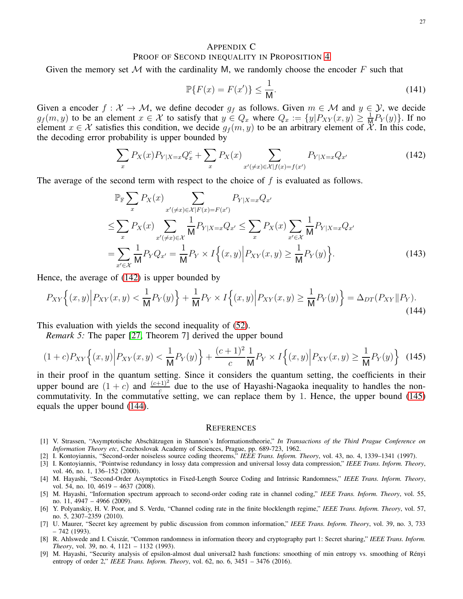# APPENDIX C PROOF OF SECOND INEQUALITY IN PROPOSITION [4](#page-9-5)

Given the memory set M with the cardinality M, we randomly choose the encoder F such that

<span id="page-26-10"></span><span id="page-26-9"></span>
$$
\mathbb{P}\{F(x) = F(x')\} \le \frac{1}{\mathsf{M}}.\tag{141}
$$

Given a encoder  $f : \mathcal{X} \to \mathcal{M}$ , we define decoder  $g_f$  as follows. Given  $m \in \mathcal{M}$  and  $y \in \mathcal{Y}$ , we decide  $g_f(m, y)$  to be an element  $x \in \mathcal{X}$  to satisfy that  $y \in Q_x$  where  $Q_x := \{y | P_{XY}(x, y) \ge \frac{1}{M} P_Y(y)\}\$ . If no element  $x \in \mathcal{X}$  satisfies this condition, we decide  $g_f(m, y)$  to be an arbitrary element of  $\mathcal{X}$ . In this code, the decoding error probability is upper bounded by

$$
\sum_{x} P_X(x) P_{Y|X=x} Q_x^c + \sum_{x} P_X(x) \sum_{x' (\neq x) \in \mathcal{X} | f(x) = f(x')} P_{Y|X=x} Q_{x'}
$$
(142)

The average of the second term with respect to the choice of  $f$  is evaluated as follows.

$$
\mathbb{P}_{\mathbb{F}}\sum_{x} P_{X}(x) \sum_{x'(\neq x)\in\mathcal{X}|F(x)=F(x')} P_{Y|X=x}Q_{x'}
$$
\n
$$
\leq \sum_{x} P_{X}(x) \sum_{x'(\neq x)\in\mathcal{X}} \frac{1}{M} P_{Y|X=x}Q_{x'} \leq \sum_{x} P_{X}(x) \sum_{x'\in\mathcal{X}} \frac{1}{M} P_{Y|X=x}Q_{x'}
$$
\n
$$
= \sum_{x'\in\mathcal{X}} \frac{1}{M} P_{Y}Q_{x'} = \frac{1}{M} P_{Y} \times I\{(x,y) | P_{XY}(x,y) \geq \frac{1}{M} P_{Y}(y)\}.
$$
\n(143)

Hence, the average of [\(142\)](#page-26-10) is upper bounded by

$$
P_{XY}\Big\{(x,y)\Big|P_{XY}(x,y) < \frac{1}{M}P_Y(y)\Big\} + \frac{1}{M}P_Y \times I\Big\{(x,y)\Big|P_{XY}(x,y) \ge \frac{1}{M}P_Y(y)\Big\} = \Delta_{DT}(P_{XY}||P_Y). \tag{144}
$$

This evaluation with yields the second inequality of [\(52\)](#page-9-2).

*Remark 5:* The paper [\[27,](#page-27-17) Theorem 7] derived the upper bound

$$
(1+c)P_{XY}\left\{(x,y)\Big|P_{XY}(x,y) < \frac{1}{M}P_Y(y)\right\} + \frac{(c+1)^2}{c} \frac{1}{M}P_Y \times I\left\{(x,y)\Big|P_{XY}(x,y) \ge \frac{1}{M}P_Y(y)\right\} \tag{145}
$$

in their proof in the quantum setting. Since it considers the quantum setting, the coefficients in their upper bound are  $(1 + c)$  and  $\frac{(c+1)^2}{c}$  due to the use of Hayashi-Nagaoka inequality to handles the noncommutativity. In the commutative setting, we can replace them by 1. Hence, the upper bound [\(145\)](#page-26-11) equals the upper bound [\(144\)](#page-26-12).

### <span id="page-26-12"></span><span id="page-26-11"></span>**REFERENCES**

<span id="page-26-0"></span>[1] V. Strassen, "Asymptotische Absch¨atzugen in Shannon's Informationstheorie," *In Transactions of the Third Prague Conference on Information Theory etc*, Czechoslovak Academy of Sciences, Prague, pp. 689-723, 1962.

<span id="page-26-2"></span><span id="page-26-1"></span>[2] I. Kontoyiannis, "Second-order noiseless source coding theorems," *IEEE Trans. Inform. Theory*, vol. 43, no. 4, 1339–1341 (1997).

- [3] I. Kontoyiannis, "Pointwise redundancy in lossy data compression and universal lossy data compression," *IEEE Trans. Inform. Theory*, vol. 46, no. 1, 136–152 (2000).
- <span id="page-26-3"></span>[4] M. Hayashi, "Second-Order Asymptotics in Fixed-Length Source Coding and Intrinsic Randomness," *IEEE Trans. Inform. Theory*, vol. 54, no. 10, 4619 - 4637 (2008).
- <span id="page-26-4"></span>[5] M. Hayashi, "Information spectrum approach to second-order coding rate in channel coding," *IEEE Trans. Inform. Theory*, vol. 55, no. 11, 4947 – 4966 (2009).
- <span id="page-26-5"></span>[6] Y. Polyanskiy, H. V. Poor, and S. Verdu, "Channel coding rate in the finite blocklength regime," *IEEE Trans. Inform. Theory*, vol. 57, no. 5, 2307–2359 (2010).
- <span id="page-26-6"></span>[7] U. Maurer, "Secret key agreement by public discussion from common information," *IEEE Trans. Inform. Theory*, vol. 39, no. 3, 733 – 742 (1993).
- <span id="page-26-7"></span>[8] R. Ahlswede and I. Csisz´ar, "Common randomness in information theory and cryptography part 1: Secret sharing," *IEEE Trans. Inform. Theory*, vol. 39, no. 4, 1121 – 1132 (1993).
- <span id="page-26-8"></span>[9] M. Hayashi, "Security analysis of epsilon-almost dual universal2 hash functions: smoothing of min entropy vs. smoothing of Rényi entropy of order 2," *IEEE Trans. Inform. Theory*, vol. 62, no. 6, 3451 – 3476 (2016).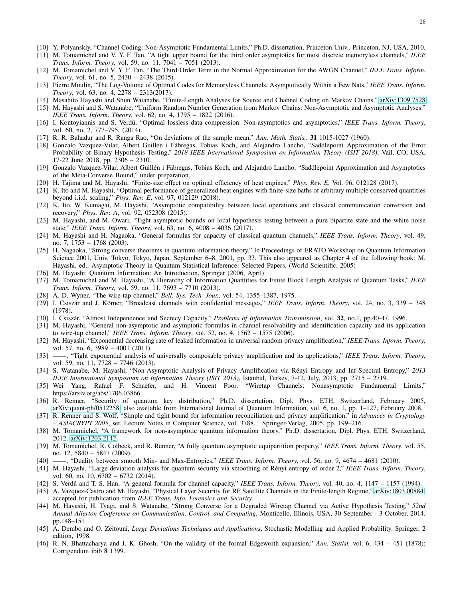- <span id="page-27-1"></span><span id="page-27-0"></span>[10] Y. Polyanskiy, "Channel Coding: Non-Asymptotic Fundamental Limits," Ph.D. dissertation, Princeton Univ., Princeton, NJ, USA, 2010.
- [11] M. Tomamichel and V. Y. F. Tan, "A tight upper bound for the third order asymptotics for most discrete memoryless channels," *IEEE Trans. Inform. Theory*, vol. 59, no. 11, 7041 – 7051 (2013).
- <span id="page-27-2"></span>[12] M. Tomamichel and V. Y. F. Tan, "The Third-Order Term in the Normal Approximation for the AWGN Channel," *IEEE Trans. Inform. Theory*, vol. 61, no. 5, 2430 – 2438 (2015).
- <span id="page-27-3"></span>[13] Pierre Moulin, "The Log-Volume of Optimal Codes for Memoryless Channels, Asymptotically Within a Few Nats," *IEEE Trans. Inform. Theory*, vol. 63, no. 4, 2278 – 2313(2017).
- <span id="page-27-5"></span><span id="page-27-4"></span>[14] Masahito Hayashi and Shun Watanabe, "Finite-Length Analyses for Source and Channel Coding on Markov Chains," [arXiv:1309.7528](http://arxiv.org/abs/1309.7528)
- [15] M. Hayashi and S. Watanabe, "Uniform Random Number Generation from Markov Chains: Non-Asymptotic and Asymptotic Analyses." *IEEE Trans. Inform. Theory*, vol. 62, no. 4, 1795 – 1822 (2016).
- <span id="page-27-6"></span>[16] I. Kontoyiannis and S. Verd´u, "Optimal lossless data compression: Non-asymptotics and asymptotics," *IEEE Trans. Inform. Theory*, vol. 60, no. 2, 777–795, (2014).
- <span id="page-27-8"></span><span id="page-27-7"></span>[17] R. R. Bahadur and R. Ranga Rao, "On deviations of the sample mean," *Ann. Math. Statis.*, 31 1015-1027 (1960).
- [18] Gonzalo Vazquez-Vilar, Albert Guillen i Fábregas, Tobias Koch, and Alejandro Lancho, "Saddlepoint Approximation of the Error Probability of Binary Hypothesis Testing," *2018 IEEE International Symposium on Information Theory (ISIT 2018)*, Vail, CO, USA, 17-22 June 2018, pp. 2306 – 2310.
- <span id="page-27-9"></span>[19] Gonzalo Vazquez-Vilar, Albert Guillén i Fàbregas, Tobias Koch, and Alejandro Lancho, "Saddlepoint Approximation and Asymptotics of the Meta-Converse Bound," under preparation.
- <span id="page-27-11"></span><span id="page-27-10"></span>[20] H. Tajima and M. Hayashi, "Finite-size effect on optimal efficiency of heat engines," *Phys. Rev. E*, Vol. 96, 012128 (2017).
- [21] K. Ito and M. Hayashi, "Optimal performance of generalized heat engines with finite-size baths of arbitrary multiple conserved quantities beyond i.i.d. scaling," *Phys. Rev. E*, vol. 97, 012129 (2018).
- <span id="page-27-12"></span>[22] K. Ito, W. Kumagai, M. Hayashi, "Asymptotic compatibility between local operations and classical communication conversion and recovery," *Phys. Rev. A*, vol. 92, 052308 (2015).
- <span id="page-27-13"></span>[23] M. Hayashi, and M. Owari, "Tight asymptotic bounds on local hypothesis testing between a pure bipartite state and the white noise state," *IEEE Trans. Inform. Theory*, vol. 63, no. 6, 4008 – 4036 (2017).
- <span id="page-27-14"></span>[24] M. Hayashi and H. Nagaoka, "General formulas for capacity of classical-quantum channels," *IEEE Trans. Inform. Theory*, vol. 49, no. 7, 1753 – 1768 (2003).
- <span id="page-27-15"></span>[25] H. Nagaoka, "Strong converse theorems in quantum information theory," In Proceedings of ERATO Workshop on Quantum Information Science 2001, Univ. Tokyo, Tokyo, Japan, September 6–8, 2001, pp. 33. This also appeared as Chapter 4 of the following book: M. Hayashi, ed.: Asymptotic Theory in Quantum Statistical Inference: Selected Papers, (World Scientific, 2005)
- <span id="page-27-17"></span><span id="page-27-16"></span>[26] M. Hayashi: Quantum Information: An Introduction, Springer (2006, April)
- [27] M. Tomamichel and M. Hayashi, "A Hierarchy of Information Quantities for Finite Block Length Analysis of Quantum Tasks," *IEEE Trans. Inform. Theory*, vol. 59, no. 11, 7693 – 7710 (2013).
- <span id="page-27-19"></span><span id="page-27-18"></span>[28] A. D. Wyner, "The wire-tap channel," *Bell. Sys. Tech. Jour.*, vol. 54, 1355–1387, 1975.
- [29] I. Csiszár and J. Körner, "Broadcast channels with confidential messages," *IEEE Trans. Inform. Theory*, vol. 24, no. 3, 339 348 (1978).
- <span id="page-27-21"></span><span id="page-27-20"></span>[30] I. Csisz´ar, "Almost Independence and Secrecy Capacity," *Problems of Information Transmission*, vol. 32, no.1, pp.40-47, 1996.
- [31] M. Hayashi, "General non-asymptotic and asymptotic formulas in channel resolvability and identification capacity and its application to wire-tap channel," *IEEE Trans. Inform. Theory*, vol. 52, no. 4, 1562 – 1575 (2006).
- <span id="page-27-22"></span>[32] M. Hayashi, "Exponential decreasing rate of leaked information in universal random privacy amplification," *IEEE Trans. Inform. Theory*, vol. 57, no. 6, 3989 – 4001 (2011).
- <span id="page-27-23"></span>[33] ——, "Tight exponential analysis of universally composable privacy amplification and its applications," *IEEE Trans. Inform. Theory*, vol. 59, no. 11, 7728 – 7746 (2013).
- <span id="page-27-24"></span>[34] S. Watanabe, M. Hayashi, "Non-Asymptotic Analysis of Privacy Amplification via R´enyi Entropy and Inf-Spectral Entropy," *2013 IEEE International Symposium on Information Theory (ISIT 2013)*, Istanbul, Turkey, 7-12, July, 2013, pp. 2715 – 2719.
- <span id="page-27-25"></span>[35] Wei Yang, Rafael F. Schaefer, and H. Vincent Poor, "Wiretap Channels: Nonasymptotic Fundamental Limits," https://arxiv.org/abs/1706.03866
- <span id="page-27-27"></span>[36] R. Renner, "Security of quantum key distribution," Ph.D. dissertation, Dipl. Phys. ETH, Switzerland, February 2005, [arXiv:quant-ph/0512258,](http://arxiv.org/abs/quant-ph/0512258) also available from International Journal of Quantum Information, vol. 6, no. 1, pp. 1–127, February 2008.
- <span id="page-27-26"></span>[37] R. Renner and S. Wolf, "Simple and tight bound for information reconciliation and privacy amplification," in *Advances in Cryptology – ASIACRYPT 2005*, ser. Lecture Notes in Computer Science, vol. 3788. Springer-Verlag, 2005, pp. 199–216.
- <span id="page-27-30"></span>[38] M. Tomamichel, "A framework for non-asymptotic quantum information theory," Ph.D. dissertation, Dipl. Phys. ETH, Switzerland, 2012, [arXiv:1203.2142.](http://arxiv.org/abs/1203.2142)
- <span id="page-27-28"></span>[39] M. Tomamichel, R. Colbeck, and R. Renner, "A fully quantum asymptotic equipartition property," *IEEE Trans. Inform. Theory*, vol. 55, no. 12, 5840 – 5847 (2009).<br>[40] —, "Duality between smo
- <span id="page-27-31"></span><span id="page-27-29"></span>[40] ——, "Duality between smooth Min- and Max-Entropies," *IEEE Trans. Inform. Theory*, vol. 56, no. 9, 4674 – 4681 (2010).
- [41] M. Hayashi, "Large deviation analysis for quantum security via smoothing of Rényi entropy of order 2," IEEE Trans. Inform. Theory, vol. 60, no. 10, 6702 – 6732 (2014).
- <span id="page-27-33"></span><span id="page-27-32"></span>[42] S. Verdú and T. S. Han, "A general formula for channel capacity," *IEEE Trans. Inform. Theory*, vol. 40, no. 4, 1147 - 1157 (1994).
- [43] A. Vazquez-Castro and M. Hayashi, "Physical Layer Security for RF Satellite Channels in the Finite-length Regime," [arXiv:1803.00884;](http://arxiv.org/abs/1803.00884) accepted for publication from *IEEE Trans. Info. Forensics and Security*.
- <span id="page-27-34"></span>[44] M. Hayashi, H. Tyagi, and S. Watanabe, "Strong Converse for a Degraded Wiretap Channel via Active Hypothesis Testing," *52nd Annual Allerton Conference on Communication, Control, and Computing*, Monticello, Illinois, USA, 30 September - 3 October, 2014. pp.148–151
- <span id="page-27-35"></span>[45] A. Dembo and O. Zeitouni, *Large Deviations Techniques and Applications*, Stochastic Modelling and Applied Probability. Springer, 2 edition, 1998.
- <span id="page-27-36"></span>[46] R. N. Bhattacharya and J. K. Ghosh, "On the validity of the formal Edgeworth expansion," *Ann. Statist.* vol. 6, 434 – 451 (1878); Corrigendum ibib 8 1399.